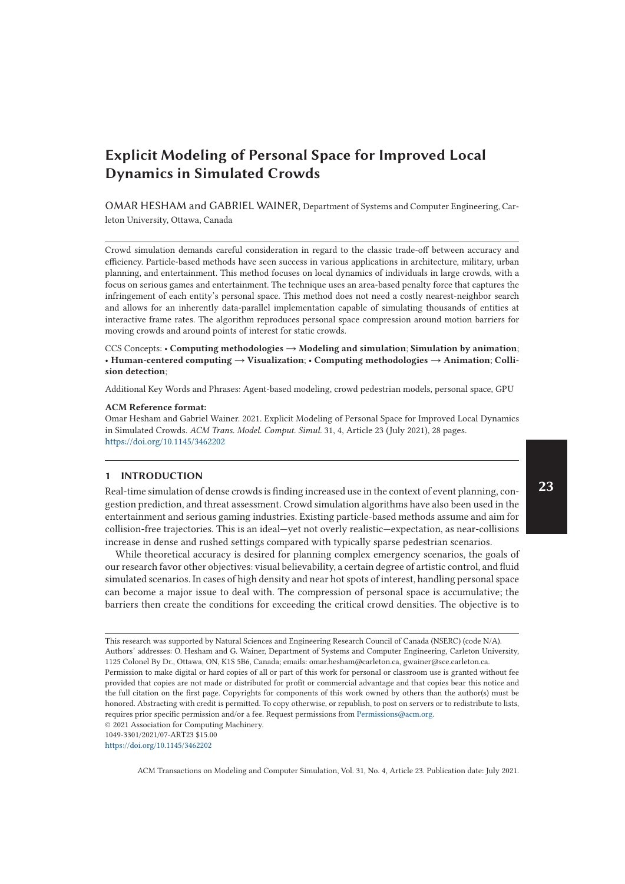OMAR HESHAM and GABRIEL WAINER, Department of Systems and Computer Engineering, Carleton University, Ottawa, Canada

Crowd simulation demands careful consideration in regard to the classic trade-off between accuracy and efficiency. Particle-based methods have seen success in various applications in architecture, military, urban planning, and entertainment. This method focuses on local dynamics of individuals in large crowds, with a focus on serious games and entertainment. The technique uses an area-based penalty force that captures the infringement of each entity's personal space. This method does not need a costly nearest-neighbor search and allows for an inherently data-parallel implementation capable of simulating thousands of entities at interactive frame rates. The algorithm reproduces personal space compression around motion barriers for moving crowds and around points of interest for static crowds.

CCS Concepts: • **Computing methodologies** → **Modeling and simulation**; **Simulation by animation**; • **Human-centered computing** → **Visualization**; • **Computing methodologies** → **Animation**; **Collision detection**;

Additional Key Words and Phrases: Agent-based modeling, crowd pedestrian models, personal space, GPU

#### **ACM Reference format:**

Omar Hesham and Gabriel Wainer. 2021. Explicit Modeling of Personal Space for Improved Local Dynamics in Simulated Crowds. *ACM Trans. Model. Comput. Simul.* 31, 4, Article 23 (July 2021), 28 pages. https://doi.org/10.1145/3462202

# **1 INTRODUCTION**

Real-time simulation of dense crowds is finding increased use in the context of event planning, congestion prediction, and threat assessment. Crowd simulation algorithms have also been used in the entertainment and serious gaming industries. Existing particle-based methods assume and aim for collision-free trajectories. This is an ideal—yet not overly realistic—expectation, as near-collisions increase in dense and rushed settings compared with typically sparse pedestrian scenarios.

While theoretical accuracy is desired for planning complex emergency scenarios, the goals of our research favor other objectives: visual believability, a certain degree of artistic control, and fluid simulated scenarios. In cases of high density and near hot spots of interest, handling personal space can become a major issue to deal with. The compression of personal space is accumulative; the barriers then create the conditions for exceeding the critical crowd densities. The objective is to

1049-3301/2021/07-ART23 \$15.00

https://doi.org/10.1145/3462202

This research was supported by Natural Sciences and Engineering Research Council of Canada (NSERC) (code N/A). Authors' addresses: O. Hesham and G. Wainer, Department of Systems and Computer Engineering, Carleton University, 1125 Colonel By Dr., Ottawa, ON, K1S 5B6, Canada; emails: omar.hesham@carleton.ca, gwainer@sce.carleton.ca. Permission to make digital or hard copies of all or part of this work for personal or classroom use is granted without fee provided that copies are not made or distributed for profit or commercial advantage and that copies bear this notice and the full citation on the first page. Copyrights for components of this work owned by others than the author(s) must be honored. Abstracting with credit is permitted. To copy otherwise, or republish, to post on servers or to redistribute to lists, requires prior specific permission and/or a fee. Request permissions from Permissions@acm.org.

<sup>© 2021</sup> Association for Computing Machinery.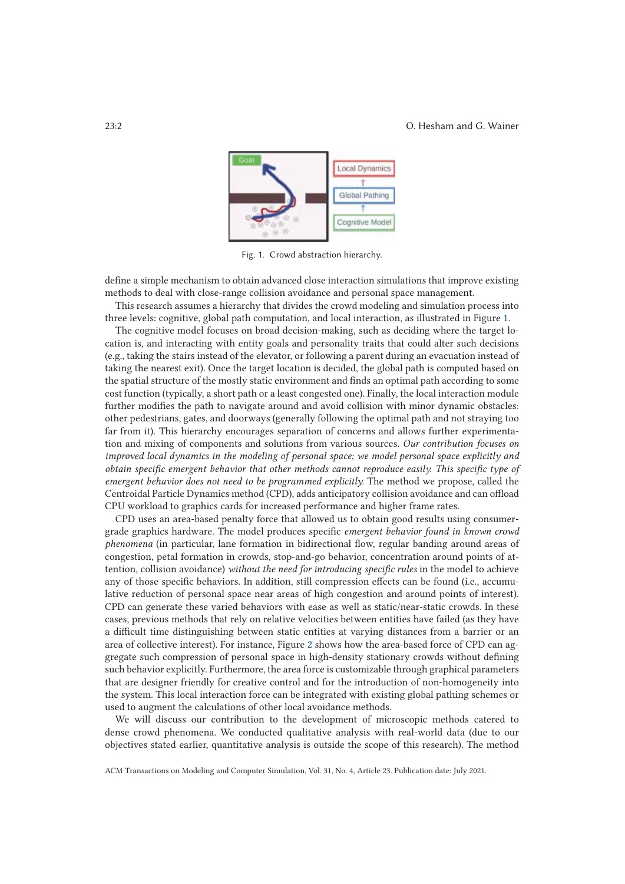### 23:2 O. Hesham and G. Wainer



Fig. 1. Crowd abstraction hierarchy.

define a simple mechanism to obtain advanced close interaction simulations that improve existing methods to deal with close-range collision avoidance and personal space management.

This research assumes a hierarchy that divides the crowd modeling and simulation process into three levels: cognitive, global path computation, and local interaction, as illustrated in Figure 1.

The cognitive model focuses on broad decision-making, such as deciding where the target location is, and interacting with entity goals and personality traits that could alter such decisions (e.g., taking the stairs instead of the elevator, or following a parent during an evacuation instead of taking the nearest exit). Once the target location is decided, the global path is computed based on the spatial structure of the mostly static environment and finds an optimal path according to some cost function (typically, a short path or a least congested one). Finally, the local interaction module further modifies the path to navigate around and avoid collision with minor dynamic obstacles: other pedestrians, gates, and doorways (generally following the optimal path and not straying too far from it). This hierarchy encourages separation of concerns and allows further experimentation and mixing of components and solutions from various sources. *Our contribution focuses on improved local dynamics in the modeling of personal space; we model personal space explicitly and obtain specific emergent behavior that other methods cannot reproduce easily. This specific type of emergent behavior does not need to be programmed explicitly.* The method we propose, called the Centroidal Particle Dynamics method (CPD), adds anticipatory collision avoidance and can offload CPU workload to graphics cards for increased performance and higher frame rates.

CPD uses an area-based penalty force that allowed us to obtain good results using consumergrade graphics hardware. The model produces specific *emergent behavior found in known crowd phenomena* (in particular, lane formation in bidirectional flow, regular banding around areas of congestion, petal formation in crowds, stop-and-go behavior, concentration around points of attention, collision avoidance) *without the need for introducing specific rules* in the model to achieve any of those specific behaviors. In addition, still compression effects can be found (i.e., accumulative reduction of personal space near areas of high congestion and around points of interest). CPD can generate these varied behaviors with ease as well as static/near-static crowds. In these cases, previous methods that rely on relative velocities between entities have failed (as they have a difficult time distinguishing between static entities at varying distances from a barrier or an area of collective interest). For instance, Figure 2 shows how the area-based force of CPD can aggregate such compression of personal space in high-density stationary crowds without defining such behavior explicitly. Furthermore, the area force is customizable through graphical parameters that are designer friendly for creative control and for the introduction of non-homogeneity into the system. This local interaction force can be integrated with existing global pathing schemes or used to augment the calculations of other local avoidance methods.

We will discuss our contribution to the development of microscopic methods catered to dense crowd phenomena. We conducted qualitative analysis with real-world data (due to our objectives stated earlier, quantitative analysis is outside the scope of this research). The method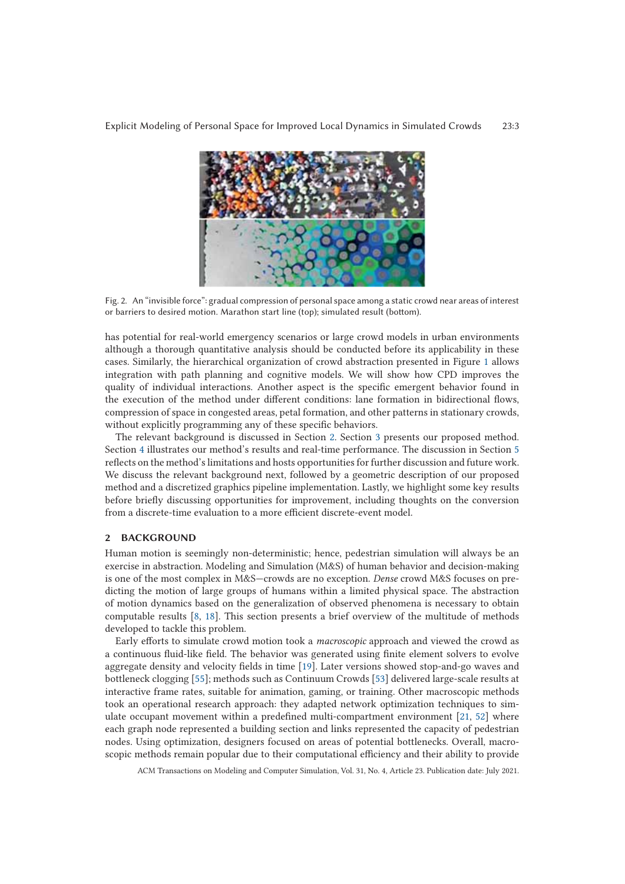

Fig. 2. An "invisible force": gradual compression of personal space among a static crowd near areas of interest or barriers to desired motion. Marathon start line (top); simulated result (bottom).

has potential for real-world emergency scenarios or large crowd models in urban environments although a thorough quantitative analysis should be conducted before its applicability in these cases. Similarly, the hierarchical organization of crowd abstraction presented in Figure 1 allows integration with path planning and cognitive models. We will show how CPD improves the quality of individual interactions. Another aspect is the specific emergent behavior found in the execution of the method under different conditions: lane formation in bidirectional flows, compression of space in congested areas, petal formation, and other patterns in stationary crowds, without explicitly programming any of these specific behaviors.

The relevant background is discussed in Section 2. Section 3 presents our proposed method. Section 4 illustrates our method's results and real-time performance. The discussion in Section 5 reflects on the method's limitations and hosts opportunities for further discussion and future work. We discuss the relevant background next, followed by a geometric description of our proposed method and a discretized graphics pipeline implementation. Lastly, we highlight some key results before briefly discussing opportunities for improvement, including thoughts on the conversion from a discrete-time evaluation to a more efficient discrete-event model.

# **2 BACKGROUND**

Human motion is seemingly non-deterministic; hence, pedestrian simulation will always be an exercise in abstraction. Modeling and Simulation (M&S) of human behavior and decision-making is one of the most complex in M&S—crowds are no exception. *Dense* crowd M&S focuses on predicting the motion of large groups of humans within a limited physical space. The abstraction of motion dynamics based on the generalization of observed phenomena is necessary to obtain computable results [8, 18]. This section presents a brief overview of the multitude of methods developed to tackle this problem.

Early efforts to simulate crowd motion took a *macroscopic* approach and viewed the crowd as a continuous fluid-like field. The behavior was generated using finite element solvers to evolve aggregate density and velocity fields in time [19]. Later versions showed stop-and-go waves and bottleneck clogging [55]; methods such as Continuum Crowds [53] delivered large-scale results at interactive frame rates, suitable for animation, gaming, or training. Other macroscopic methods took an operational research approach: they adapted network optimization techniques to simulate occupant movement within a predefined multi-compartment environment [21, 52] where each graph node represented a building section and links represented the capacity of pedestrian nodes. Using optimization, designers focused on areas of potential bottlenecks. Overall, macroscopic methods remain popular due to their computational efficiency and their ability to provide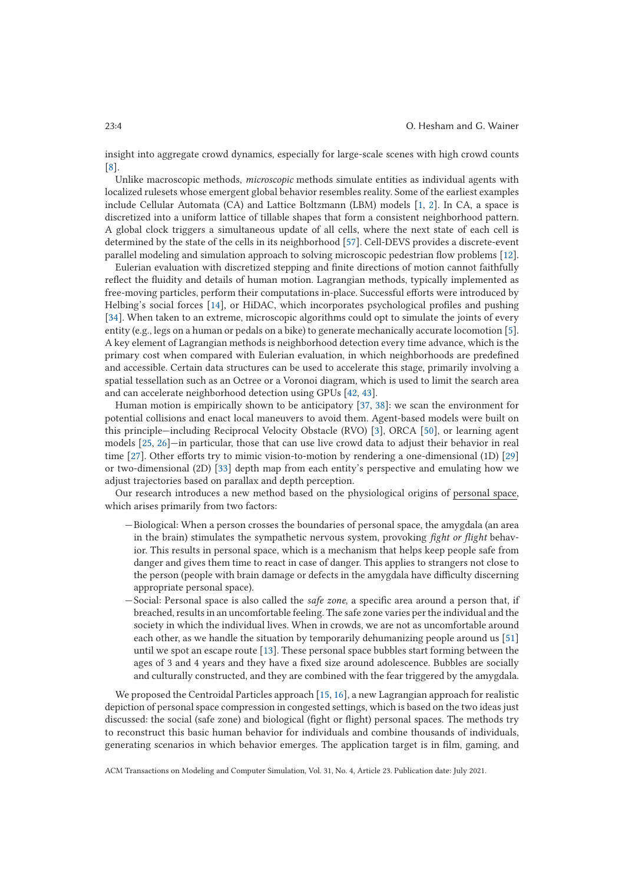insight into aggregate crowd dynamics, especially for large-scale scenes with high crowd counts [8].

Unlike macroscopic methods, *microscopic* methods simulate entities as individual agents with localized rulesets whose emergent global behavior resembles reality. Some of the earliest examples include Cellular Automata (CA) and Lattice Boltzmann (LBM) models [1, 2]. In CA, a space is discretized into a uniform lattice of tillable shapes that form a consistent neighborhood pattern. A global clock triggers a simultaneous update of all cells, where the next state of each cell is determined by the state of the cells in its neighborhood [57]. Cell-DEVS provides a discrete-event parallel modeling and simulation approach to solving microscopic pedestrian flow problems [12].

Eulerian evaluation with discretized stepping and finite directions of motion cannot faithfully reflect the fluidity and details of human motion. Lagrangian methods, typically implemented as free-moving particles, perform their computations in-place. Successful efforts were introduced by Helbing's social forces [14], or HiDAC, which incorporates psychological profiles and pushing [34]. When taken to an extreme, microscopic algorithms could opt to simulate the joints of every entity (e.g., legs on a human or pedals on a bike) to generate mechanically accurate locomotion [5]. A key element of Lagrangian methods is neighborhood detection every time advance, which is the primary cost when compared with Eulerian evaluation, in which neighborhoods are predefined and accessible. Certain data structures can be used to accelerate this stage, primarily involving a spatial tessellation such as an Octree or a Voronoi diagram, which is used to limit the search area and can accelerate neighborhood detection using GPUs [42, 43].

Human motion is empirically shown to be anticipatory [37, 38]: we scan the environment for potential collisions and enact local maneuvers to avoid them. Agent-based models were built on this principle—including Reciprocal Velocity Obstacle (RVO) [3], ORCA [50], or learning agent models [25, 26]—in particular, those that can use live crowd data to adjust their behavior in real time [27]. Other efforts try to mimic vision-to-motion by rendering a one-dimensional (1D) [29] or two-dimensional (2D) [33] depth map from each entity's perspective and emulating how we adjust trajectories based on parallax and depth perception.

Our research introduces a new method based on the physiological origins of personal space, which arises primarily from two factors:

- —Biological: When a person crosses the boundaries of personal space, the amygdala (an area in the brain) stimulates the sympathetic nervous system, provoking *fight or flight* behavior. This results in personal space, which is a mechanism that helps keep people safe from danger and gives them time to react in case of danger. This applies to strangers not close to the person (people with brain damage or defects in the amygdala have difficulty discerning appropriate personal space).
- —Social: Personal space is also called the *safe zone*, a specific area around a person that, if breached, results in an uncomfortable feeling. The safe zone varies per the individual and the society in which the individual lives. When in crowds, we are not as uncomfortable around each other, as we handle the situation by temporarily dehumanizing people around us [51] until we spot an escape route [13]. These personal space bubbles start forming between the ages of 3 and 4 years and they have a fixed size around adolescence. Bubbles are socially and culturally constructed, and they are combined with the fear triggered by the amygdala.

We proposed the Centroidal Particles approach [15, 16], a new Lagrangian approach for realistic depiction of personal space compression in congested settings, which is based on the two ideas just discussed: the social (safe zone) and biological (fight or flight) personal spaces. The methods try to reconstruct this basic human behavior for individuals and combine thousands of individuals, generating scenarios in which behavior emerges. The application target is in film, gaming, and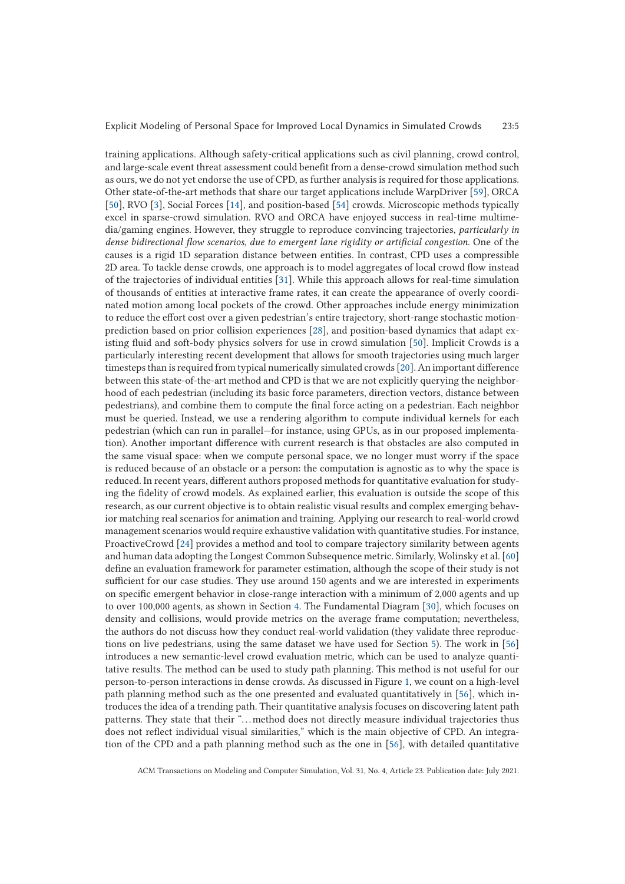training applications. Although safety-critical applications such as civil planning, crowd control, and large-scale event threat assessment could benefit from a dense-crowd simulation method such as ours, we do not yet endorse the use of CPD, as further analysis is required for those applications. Other state-of-the-art methods that share our target applications include WarpDriver [59], ORCA [50], RVO [3], Social Forces [14], and position-based [54] crowds. Microscopic methods typically excel in sparse-crowd simulation. RVO and ORCA have enjoyed success in real-time multimedia/gaming engines. However, they struggle to reproduce convincing trajectories, *particularly in dense bidirectional flow scenarios, due to emergent lane rigidity or artificial congestion*. One of the causes is a rigid 1D separation distance between entities. In contrast, CPD uses a compressible 2D area. To tackle dense crowds, one approach is to model aggregates of local crowd flow instead of the trajectories of individual entities [31]. While this approach allows for real-time simulation of thousands of entities at interactive frame rates, it can create the appearance of overly coordinated motion among local pockets of the crowd. Other approaches include energy minimization to reduce the effort cost over a given pedestrian's entire trajectory, short-range stochastic motionprediction based on prior collision experiences [28], and position-based dynamics that adapt existing fluid and soft-body physics solvers for use in crowd simulation [50]. Implicit Crowds is a particularly interesting recent development that allows for smooth trajectories using much larger timesteps than is required from typical numerically simulated crowds [20]. An important difference between this state-of-the-art method and CPD is that we are not explicitly querying the neighborhood of each pedestrian (including its basic force parameters, direction vectors, distance between pedestrians), and combine them to compute the final force acting on a pedestrian. Each neighbor must be queried. Instead, we use a rendering algorithm to compute individual kernels for each pedestrian (which can run in parallel—for instance, using GPUs, as in our proposed implementation). Another important difference with current research is that obstacles are also computed in the same visual space: when we compute personal space, we no longer must worry if the space is reduced because of an obstacle or a person: the computation is agnostic as to why the space is reduced. In recent years, different authors proposed methods for quantitative evaluation for studying the fidelity of crowd models. As explained earlier, this evaluation is outside the scope of this research, as our current objective is to obtain realistic visual results and complex emerging behavior matching real scenarios for animation and training. Applying our research to real-world crowd management scenarios would require exhaustive validation with quantitative studies. For instance, ProactiveCrowd [24] provides a method and tool to compare trajectory similarity between agents and human data adopting the Longest Common Subsequence metric. Similarly, Wolinsky et al. [60] define an evaluation framework for parameter estimation, although the scope of their study is not sufficient for our case studies. They use around 150 agents and we are interested in experiments on specific emergent behavior in close-range interaction with a minimum of 2,000 agents and up to over 100,000 agents, as shown in Section 4. The Fundamental Diagram [30], which focuses on density and collisions, would provide metrics on the average frame computation; nevertheless, the authors do not discuss how they conduct real-world validation (they validate three reproductions on live pedestrians, using the same dataset we have used for Section 5). The work in [56] introduces a new semantic-level crowd evaluation metric, which can be used to analyze quantitative results. The method can be used to study path planning. This method is not useful for our person-to-person interactions in dense crowds. As discussed in Figure 1, we count on a high-level path planning method such as the one presented and evaluated quantitatively in [56], which introduces the idea of a trending path. Their quantitative analysis focuses on discovering latent path patterns. They state that their "...method does not directly measure individual trajectories thus does not reflect individual visual similarities," which is the main objective of CPD. An integration of the CPD and a path planning method such as the one in [56], with detailed quantitative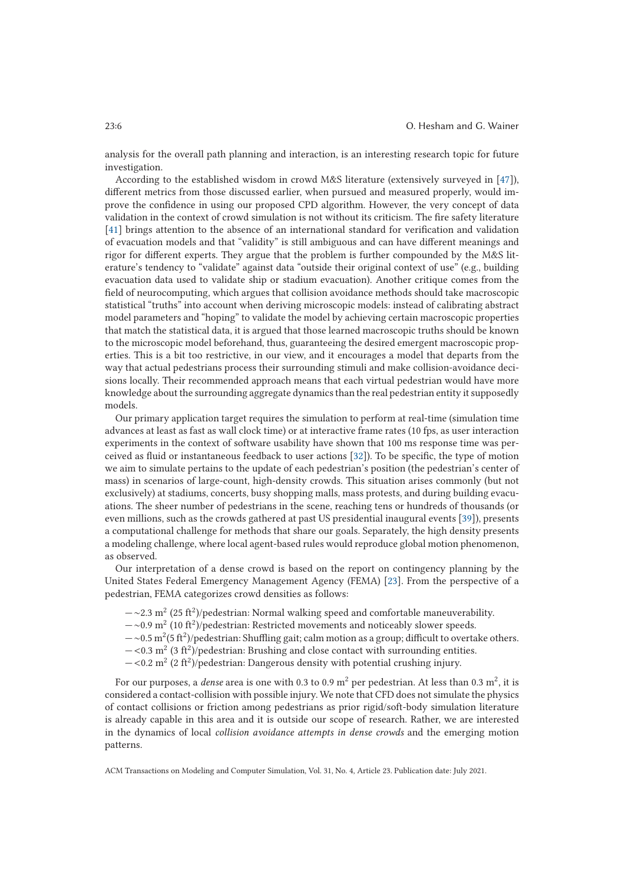analysis for the overall path planning and interaction, is an interesting research topic for future investigation.

According to the established wisdom in crowd M&S literature (extensively surveyed in [47]), different metrics from those discussed earlier, when pursued and measured properly, would improve the confidence in using our proposed CPD algorithm. However, the very concept of data validation in the context of crowd simulation is not without its criticism. The fire safety literature [41] brings attention to the absence of an international standard for verification and validation of evacuation models and that "validity" is still ambiguous and can have different meanings and rigor for different experts. They argue that the problem is further compounded by the M&S literature's tendency to "validate" against data "outside their original context of use" (e.g., building evacuation data used to validate ship or stadium evacuation). Another critique comes from the field of neurocomputing, which argues that collision avoidance methods should take macroscopic statistical "truths" into account when deriving microscopic models: instead of calibrating abstract model parameters and "hoping" to validate the model by achieving certain macroscopic properties that match the statistical data, it is argued that those learned macroscopic truths should be known to the microscopic model beforehand, thus, guaranteeing the desired emergent macroscopic properties. This is a bit too restrictive, in our view, and it encourages a model that departs from the way that actual pedestrians process their surrounding stimuli and make collision-avoidance decisions locally. Their recommended approach means that each virtual pedestrian would have more knowledge about the surrounding aggregate dynamics than the real pedestrian entity it supposedly models.

Our primary application target requires the simulation to perform at real-time (simulation time advances at least as fast as wall clock time) or at interactive frame rates (10 fps, as user interaction experiments in the context of software usability have shown that 100 ms response time was perceived as fluid or instantaneous feedback to user actions [32]). To be specific, the type of motion we aim to simulate pertains to the update of each pedestrian's position (the pedestrian's center of mass) in scenarios of large-count, high-density crowds. This situation arises commonly (but not exclusively) at stadiums, concerts, busy shopping malls, mass protests, and during building evacuations. The sheer number of pedestrians in the scene, reaching tens or hundreds of thousands (or even millions, such as the crowds gathered at past US presidential inaugural events [39]), presents a computational challenge for methods that share our goals. Separately, the high density presents a modeling challenge, where local agent-based rules would reproduce global motion phenomenon, as observed.

Our interpretation of a dense crowd is based on the report on contingency planning by the United States Federal Emergency Management Agency (FEMA) [23]. From the perspective of a pedestrian, FEMA categorizes crowd densities as follows:

- $-\sim$ 2.3 m<sup>2</sup> (25 ft<sup>2</sup>)/pedestrian: Normal walking speed and comfortable maneuverability.
- —∼0.9 m2 (10 ft2)/pedestrian: Restricted movements and noticeably slower speeds.
- $-\infty$ .5 m<sup>2</sup>(5 ft<sup>2</sup>)/pedestrian: Shuffling gait; calm motion as a group; difficult to overtake others.
- $-\langle 0.3 \text{ m}^2 (3 \text{ ft}^2) \rangle$  pedestrian: Brushing and close contact with surrounding entities.
- $-\langle 0.2 \text{ m}^2 (2 \text{ ft}^2)/\text{pedestrian}$ : Dangerous density with potential crushing injury.

For our purposes, a *dense* area is one with 0.3 to 0.9 m2 per pedestrian. At less than 0.3 m2, it is considered a contact-collision with possible injury. We note that CFD does not simulate the physics of contact collisions or friction among pedestrians as prior rigid/soft-body simulation literature is already capable in this area and it is outside our scope of research. Rather, we are interested in the dynamics of local *collision avoidance attempts in dense crowds* and the emerging motion patterns.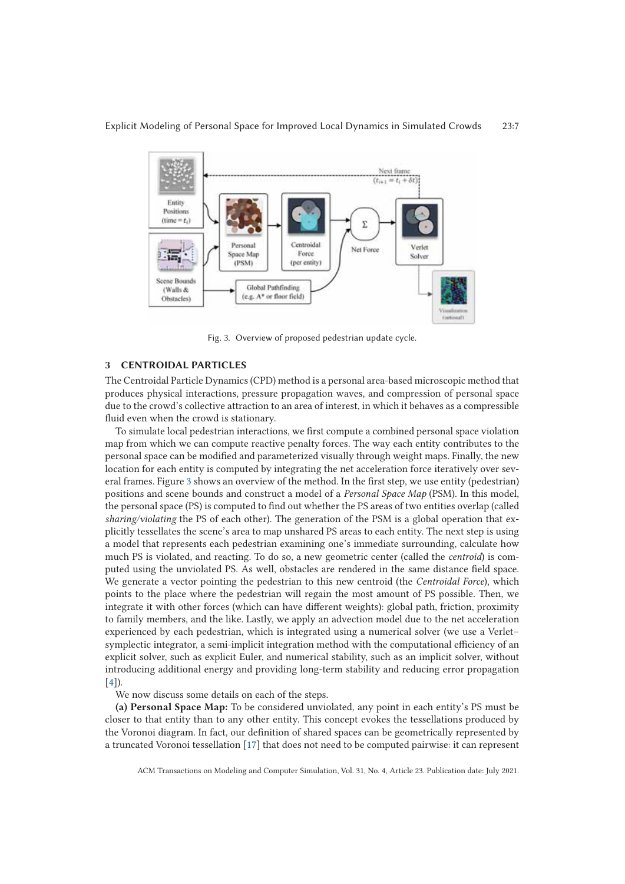

Fig. 3. Overview of proposed pedestrian update cycle.

# **3 CENTROIDAL PARTICLES**

The Centroidal Particle Dynamics (CPD) method is a personal area-based microscopic method that produces physical interactions, pressure propagation waves, and compression of personal space due to the crowd's collective attraction to an area of interest, in which it behaves as a compressible fluid even when the crowd is stationary.

To simulate local pedestrian interactions, we first compute a combined personal space violation map from which we can compute reactive penalty forces. The way each entity contributes to the personal space can be modified and parameterized visually through weight maps. Finally, the new location for each entity is computed by integrating the net acceleration force iteratively over several frames. Figure 3 shows an overview of the method. In the first step, we use entity (pedestrian) positions and scene bounds and construct a model of a *Personal Space Map* (PSM). In this model, the personal space (PS) is computed to find out whether the PS areas of two entities overlap (called *sharing/violating* the PS of each other). The generation of the PSM is a global operation that explicitly tessellates the scene's area to map unshared PS areas to each entity. The next step is using a model that represents each pedestrian examining one's immediate surrounding, calculate how much PS is violated, and reacting. To do so, a new geometric center (called the *centroid*) is computed using the unviolated PS. As well, obstacles are rendered in the same distance field space. We generate a vector pointing the pedestrian to this new centroid (the *Centroidal Force*), which points to the place where the pedestrian will regain the most amount of PS possible. Then, we integrate it with other forces (which can have different weights): global path, friction, proximity to family members, and the like. Lastly, we apply an advection model due to the net acceleration experienced by each pedestrian, which is integrated using a numerical solver (we use a Verlet– symplectic integrator, a semi-implicit integration method with the computational efficiency of an explicit solver, such as explicit Euler, and numerical stability, such as an implicit solver, without introducing additional energy and providing long-term stability and reducing error propagation  $[4]$ ).

We now discuss some details on each of the steps.

**(a) Personal Space Map:** To be considered unviolated, any point in each entity's PS must be closer to that entity than to any other entity. This concept evokes the tessellations produced by the Voronoi diagram. In fact, our definition of shared spaces can be geometrically represented by a truncated Voronoi tessellation [17] that does not need to be computed pairwise: it can represent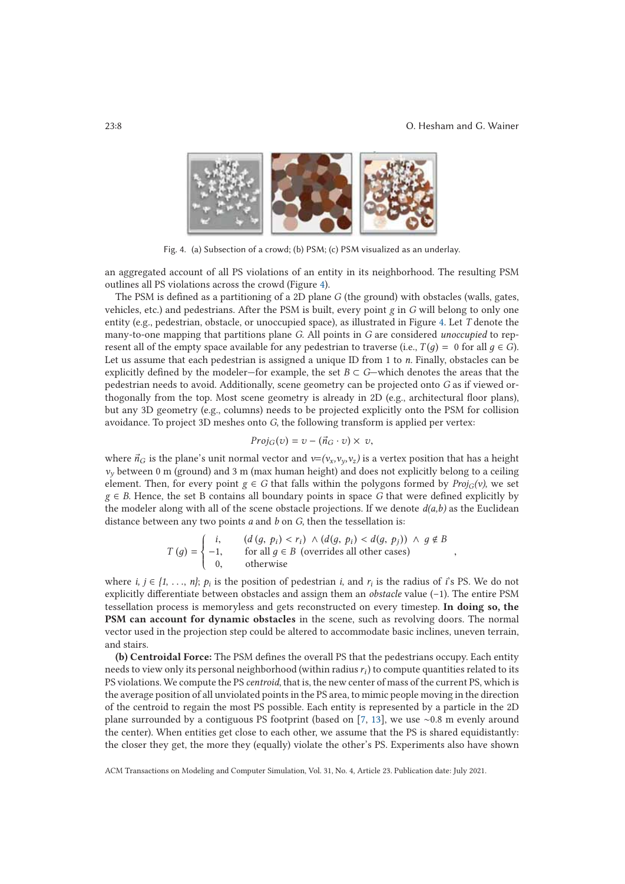,



Fig. 4. (a) Subsection of a crowd; (b) PSM; (c) PSM visualized as an underlay.

an aggregated account of all PS violations of an entity in its neighborhood. The resulting PSM outlines all PS violations across the crowd (Figure 4).

The PSM is defined as a partitioning of a 2D plane G (the ground) with obstacles (walls, gates, vehicles, etc.) and pedestrians. After the PSM is built, every point *g* in *G* will belong to only one entity (e.g., pedestrian, obstacle, or unoccupied space), as illustrated in Figure 4. Let *T* denote the many-to-one mapping that partitions plane *G*. All points in *G* are considered *unoccupied* to represent all of the empty space available for any pedestrian to traverse (i.e.,  $T(q) = 0$  for all  $q \in G$ ). Let us assume that each pedestrian is assigned a unique ID from 1 to *n.* Finally, obstacles can be explicitly defined by the modeler—for example, the set  $B \subset G$ —which denotes the areas that the pedestrian needs to avoid. Additionally, scene geometry can be projected onto *G* as if viewed orthogonally from the top. Most scene geometry is already in 2D (e.g., architectural floor plans), but any 3D geometry (e.g., columns) needs to be projected explicitly onto the PSM for collision avoidance. To project 3D meshes onto *G*, the following transform is applied per vertex:

$$
Proj_G(v) = v - (\vec{n}_G \cdot v) \times v,
$$

where  $\vec{n}_G$  is the plane's unit normal vector and  $v=(v_x,v_y,v_z)$  is a vertex position that has a height  $v<sub>y</sub>$  between 0 m (ground) and 3 m (max human height) and does not explicitly belong to a ceiling element. Then, for every point  $g \in G$  that falls within the polygons formed by  $Proj_G(v)$ , we set  $g \in B$ . Hence, the set B contains all boundary points in space *G* that were defined explicitly by the modeler along with all of the scene obstacle projections. If we denote  $d(a,b)$  as the Euclidean distance between any two points *a* and *b* on *G*, then the tessellation is:

$$
T(g) = \begin{cases} i, & (d(g, p_i) < r_i) \land (d(g, p_i) < d(g, p_j)) \land g \notin B \\ -1, & \text{for all } g \in B \text{ (overrides all other cases)} \\ 0, & \text{otherwise} \end{cases}
$$

where *i,*  $j \in \{1, \ldots, n\}$ ;  $p_i$  is the position of pedestrian *i*, and  $r_i$  is the radius of *i*'s PS. We do not explicitly differentiate between obstacles and assign them an *obstacle* value (–1). The entire PSM tessellation process is memoryless and gets reconstructed on every timestep. **In doing so, the PSM can account for dynamic obstacles** in the scene, such as revolving doors. The normal vector used in the projection step could be altered to accommodate basic inclines, uneven terrain, and stairs.

**(b) Centroidal Force:** The PSM defines the overall PS that the pedestrians occupy. Each entity needs to view only its personal neighborhood (within radius  $r_i$ ) to compute quantities related to its PS violations. We compute the PS *centroid*, that is, the new center of mass of the current PS, which is the average position of all unviolated points in the PS area, to mimic people moving in the direction of the centroid to regain the most PS possible. Each entity is represented by a particle in the 2D plane surrounded by a contiguous PS footprint (based on [7, 13], we use ∼0.8 m evenly around the center). When entities get close to each other, we assume that the PS is shared equidistantly: the closer they get, the more they (equally) violate the other's PS. Experiments also have shown

ACM Transactions on Modeling and Computer Simulation, Vol. 31, No. 4, Article 23. Publication date: July 2021.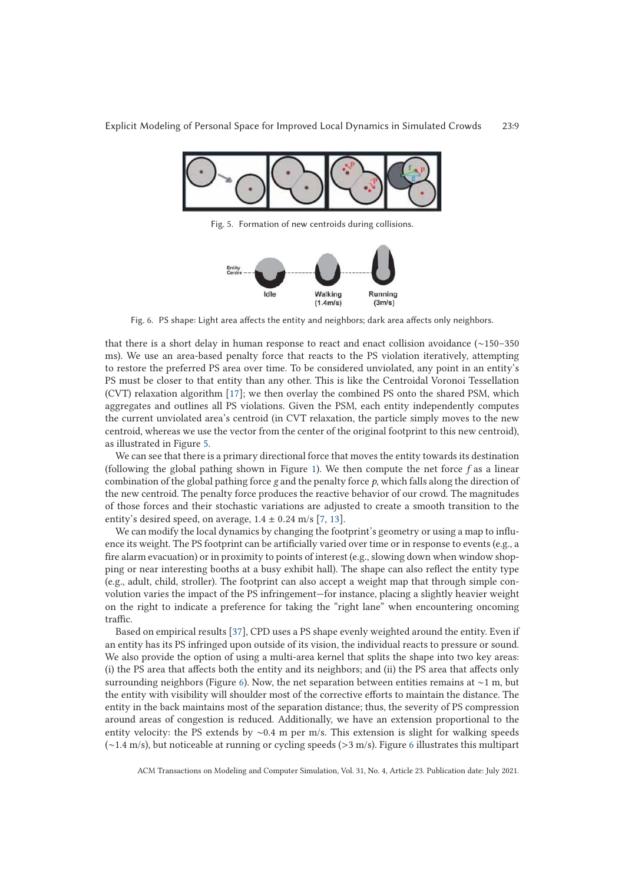

Fig. 5. Formation of new centroids during collisions.



Fig. 6. PS shape: Light area affects the entity and neighbors; dark area affects only neighbors.

that there is a short delay in human response to react and enact collision avoidance (∼150–350 ms). We use an area-based penalty force that reacts to the PS violation iteratively, attempting to restore the preferred PS area over time. To be considered unviolated, any point in an entity's PS must be closer to that entity than any other. This is like the Centroidal Voronoi Tessellation (CVT) relaxation algorithm [17]; we then overlay the combined PS onto the shared PSM, which aggregates and outlines all PS violations. Given the PSM, each entity independently computes the current unviolated area's centroid (in CVT relaxation, the particle simply moves to the new centroid, whereas we use the vector from the center of the original footprint to this new centroid), as illustrated in Figure 5.

We can see that there is a primary directional force that moves the entity towards its destination (following the global pathing shown in Figure 1). We then compute the net force *f* as a linear combination of the global pathing force *g* and the penalty force *p*, which falls along the direction of the new centroid. The penalty force produces the reactive behavior of our crowd. The magnitudes of those forces and their stochastic variations are adjusted to create a smooth transition to the entity's desired speed, on average,  $1.4 \pm 0.24$  m/s [7, 13].

We can modify the local dynamics by changing the footprint's geometry or using a map to influence its weight. The PS footprint can be artificially varied over time or in response to events (e.g., a fire alarm evacuation) or in proximity to points of interest (e.g., slowing down when window shopping or near interesting booths at a busy exhibit hall). The shape can also reflect the entity type (e.g., adult, child, stroller). The footprint can also accept a weight map that through simple convolution varies the impact of the PS infringement—for instance, placing a slightly heavier weight on the right to indicate a preference for taking the "right lane" when encountering oncoming traffic.

Based on empirical results [37], CPD uses a PS shape evenly weighted around the entity. Even if an entity has its PS infringed upon outside of its vision, the individual reacts to pressure or sound. We also provide the option of using a multi-area kernel that splits the shape into two key areas: (i) the PS area that affects both the entity and its neighbors; and (ii) the PS area that affects only surrounding neighbors (Figure 6). Now, the net separation between entities remains at ∼1 m, but the entity with visibility will shoulder most of the corrective efforts to maintain the distance. The entity in the back maintains most of the separation distance; thus, the severity of PS compression around areas of congestion is reduced. Additionally, we have an extension proportional to the entity velocity: the PS extends by ∼0.4 m per m/s. This extension is slight for walking speeds (∼1.4 m/s), but noticeable at running or cycling speeds (>3 m/s). Figure 6 illustrates this multipart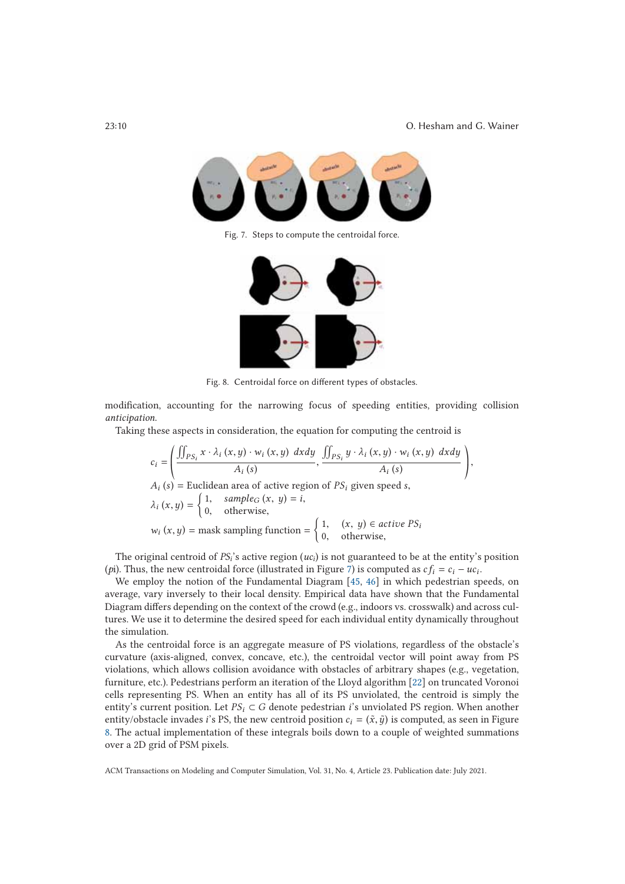23:10 O. Hesham and G. Wainer



Fig. 7. Steps to compute the centroidal force.



Fig. 8. Centroidal force on different types of obstacles.

modification, accounting for the narrowing focus of speeding entities, providing collision *anticipation*.

Taking these aspects in consideration, the equation for computing the centroid is

$$
c_i = \left(\frac{\iint_{PS_i} x \cdot \lambda_i(x, y) \cdot w_i(x, y) \, dx dy}{\lambda_i(s)}, \frac{\iint_{PS_i} y \cdot \lambda_i(x, y) \cdot w_i(x, y) \, dx dy}{\lambda_i(s)}\right),
$$
  
\n
$$
A_i(s) = \text{Euclidean area of active region of } PS_i \text{ given speed s,}
$$
  
\n
$$
\lambda_i(x, y) = \begin{cases} 1, & \text{sample}_G(x, y) = i, \\ 0, & \text{otherwise,} \end{cases}
$$
  
\n
$$
w_i(x, y) = \text{mask sampling function} = \begin{cases} 1, & \text{if } (x, y) \in \text{active } PS_i \\ 0, & \text{otherwise,} \end{cases}
$$

The original centroid of *PSi*'s active region (*uci*) is not guaranteed to be at the entity's position (*p*i). Thus, the new centroidal force (illustrated in Figure 7) is computed as  $cf_i = c_i - uc_i$ .

We employ the notion of the Fundamental Diagram [45, 46] in which pedestrian speeds, on average, vary inversely to their local density. Empirical data have shown that the Fundamental Diagram differs depending on the context of the crowd (e.g., indoors vs. crosswalk) and across cultures. We use it to determine the desired speed for each individual entity dynamically throughout the simulation.

As the centroidal force is an aggregate measure of PS violations, regardless of the obstacle's curvature (axis-aligned, convex, concave, etc.), the centroidal vector will point away from PS violations, which allows collision avoidance with obstacles of arbitrary shapes (e.g., vegetation, furniture, etc.). Pedestrians perform an iteration of the Lloyd algorithm [22] on truncated Voronoi cells representing PS. When an entity has all of its PS unviolated, the centroid is simply the entity's current position. Let  $PS_i \subset G$  denote pedestrian *i*'s unviolated PS region. When another entity/obstacle invades *i*'s PS, the new centroid position  $c_i = (\tilde{x}, \tilde{y})$  is computed, as seen in Figure 8. The actual implementation of these integrals boils down to a couple of weighted summations over a 2D grid of PSM pixels.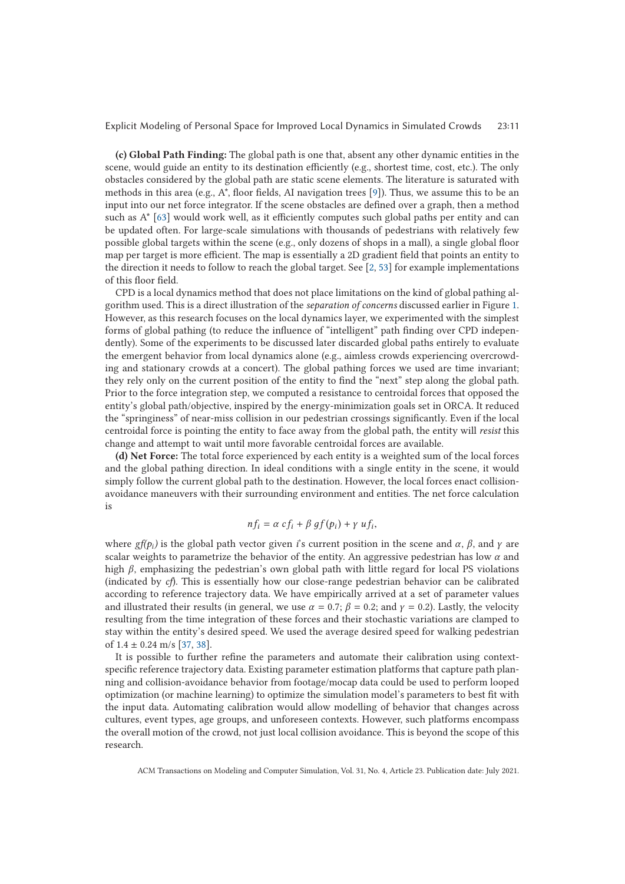**(c) Global Path Finding:** The global path is one that, absent any other dynamic entities in the scene, would guide an entity to its destination efficiently (e.g., shortest time, cost, etc.). The only obstacles considered by the global path are static scene elements. The literature is saturated with methods in this area (e.g., A\*, floor fields, AI navigation trees [9]). Thus, we assume this to be an input into our net force integrator. If the scene obstacles are defined over a graph, then a method such as A\* [63] would work well, as it efficiently computes such global paths per entity and can be updated often. For large-scale simulations with thousands of pedestrians with relatively few possible global targets within the scene (e.g., only dozens of shops in a mall), a single global floor map per target is more efficient. The map is essentially a 2D gradient field that points an entity to the direction it needs to follow to reach the global target. See [2, 53] for example implementations of this floor field.

CPD is a local dynamics method that does not place limitations on the kind of global pathing algorithm used. This is a direct illustration of the *separation of concerns* discussed earlier in Figure 1. However, as this research focuses on the local dynamics layer, we experimented with the simplest forms of global pathing (to reduce the influence of "intelligent" path finding over CPD independently). Some of the experiments to be discussed later discarded global paths entirely to evaluate the emergent behavior from local dynamics alone (e.g., aimless crowds experiencing overcrowding and stationary crowds at a concert). The global pathing forces we used are time invariant; they rely only on the current position of the entity to find the "next" step along the global path. Prior to the force integration step, we computed a resistance to centroidal forces that opposed the entity's global path/objective, inspired by the energy-minimization goals set in ORCA. It reduced the "springiness" of near-miss collision in our pedestrian crossings significantly. Even if the local centroidal force is pointing the entity to face away from the global path, the entity will *resist* this change and attempt to wait until more favorable centroidal forces are available.

**(d) Net Force:** The total force experienced by each entity is a weighted sum of the local forces and the global pathing direction. In ideal conditions with a single entity in the scene, it would simply follow the current global path to the destination. However, the local forces enact collisionavoidance maneuvers with their surrounding environment and entities. The net force calculation is

$$
nf_i = \alpha cf_i + \beta gf(p_i) + \gamma uf_i,
$$

where *gf(p<sub>i</sub>*) is the global path vector given *i*'s current position in the scene and  $\alpha$ ,  $\beta$ , and  $\gamma$  are scalar weights to parametrize the behavior of the entity. An aggressive pedestrian has low  $\alpha$  and high  $\beta$ , emphasizing the pedestrian's own global path with little regard for local PS violations (indicated by *cf*). This is essentially how our close-range pedestrian behavior can be calibrated according to reference trajectory data. We have empirically arrived at a set of parameter values and illustrated their results (in general, we use  $\alpha = 0.7$ ;  $\beta = 0.2$ ; and  $\gamma = 0.2$ ). Lastly, the velocity resulting from the time integration of these forces and their stochastic variations are clamped to stay within the entity's desired speed. We used the average desired speed for walking pedestrian of  $1.4 \pm 0.24$  m/s [37, 38].

It is possible to further refine the parameters and automate their calibration using contextspecific reference trajectory data. Existing parameter estimation platforms that capture path planning and collision-avoidance behavior from footage/mocap data could be used to perform looped optimization (or machine learning) to optimize the simulation model's parameters to best fit with the input data. Automating calibration would allow modelling of behavior that changes across cultures, event types, age groups, and unforeseen contexts. However, such platforms encompass the overall motion of the crowd, not just local collision avoidance. This is beyond the scope of this research.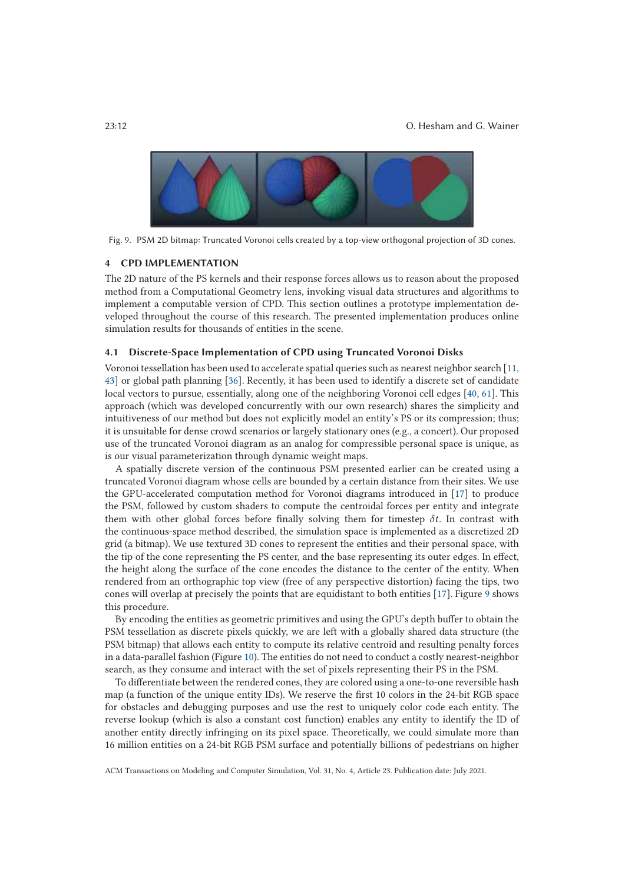

Fig. 9. PSM 2D bitmap: Truncated Voronoi cells created by a top-view orthogonal projection of 3D cones.

# **4 CPD IMPLEMENTATION**

The 2D nature of the PS kernels and their response forces allows us to reason about the proposed method from a Computational Geometry lens, invoking visual data structures and algorithms to implement a computable version of CPD. This section outlines a prototype implementation developed throughout the course of this research. The presented implementation produces online simulation results for thousands of entities in the scene.

# **4.1 Discrete-Space Implementation of CPD using Truncated Voronoi Disks**

Voronoi tessellation has been used to accelerate spatial queries such as nearest neighbor search [11, 43] or global path planning [36]. Recently, it has been used to identify a discrete set of candidate local vectors to pursue, essentially, along one of the neighboring Voronoi cell edges [40, 61]. This approach (which was developed concurrently with our own research) shares the simplicity and intuitiveness of our method but does not explicitly model an entity's PS or its compression; thus; it is unsuitable for dense crowd scenarios or largely stationary ones (e.g., a concert). Our proposed use of the truncated Voronoi diagram as an analog for compressible personal space is unique, as is our visual parameterization through dynamic weight maps.

A spatially discrete version of the continuous PSM presented earlier can be created using a truncated Voronoi diagram whose cells are bounded by a certain distance from their sites. We use the GPU-accelerated computation method for Voronoi diagrams introduced in [17] to produce the PSM, followed by custom shaders to compute the centroidal forces per entity and integrate them with other global forces before finally solving them for timestep  $\delta t$ . In contrast with the continuous-space method described, the simulation space is implemented as a discretized 2D grid (a bitmap). We use textured 3D cones to represent the entities and their personal space, with the tip of the cone representing the PS center, and the base representing its outer edges. In effect, the height along the surface of the cone encodes the distance to the center of the entity. When rendered from an orthographic top view (free of any perspective distortion) facing the tips, two cones will overlap at precisely the points that are equidistant to both entities [17]. Figure 9 shows this procedure.

By encoding the entities as geometric primitives and using the GPU's depth buffer to obtain the PSM tessellation as discrete pixels quickly, we are left with a globally shared data structure (the PSM bitmap) that allows each entity to compute its relative centroid and resulting penalty forces in a data-parallel fashion (Figure 10). The entities do not need to conduct a costly nearest-neighbor search, as they consume and interact with the set of pixels representing their PS in the PSM.

To differentiate between the rendered cones, they are colored using a one-to-one reversible hash map (a function of the unique entity IDs). We reserve the first 10 colors in the 24-bit RGB space for obstacles and debugging purposes and use the rest to uniquely color code each entity. The reverse lookup (which is also a constant cost function) enables any entity to identify the ID of another entity directly infringing on its pixel space. Theoretically, we could simulate more than 16 million entities on a 24-bit RGB PSM surface and potentially billions of pedestrians on higher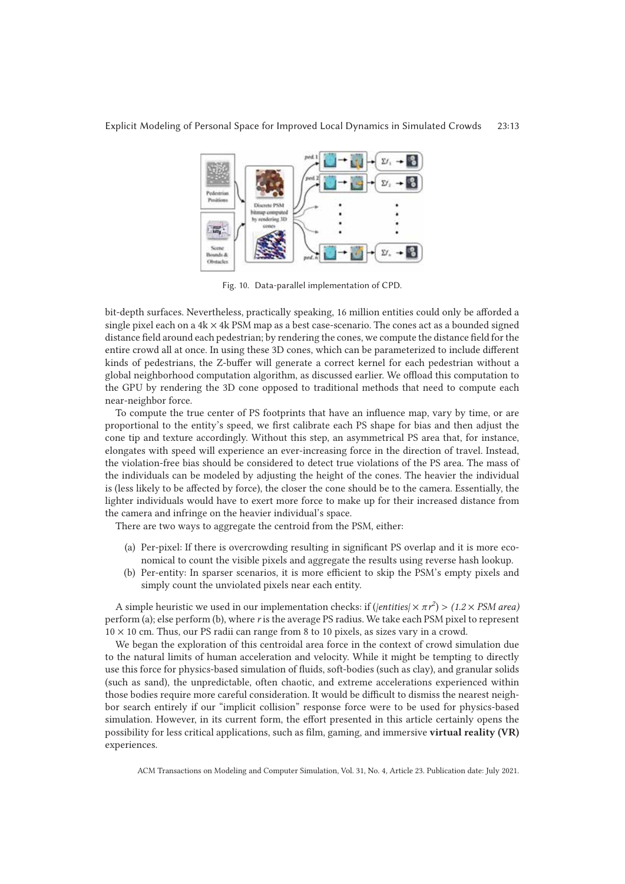

Fig. 10. Data-parallel implementation of CPD.

bit-depth surfaces. Nevertheless, practically speaking, 16 million entities could only be afforded a single pixel each on a  $4k \times 4k$  PSM map as a best case-scenario. The cones act as a bounded signed distance field around each pedestrian; by rendering the cones, we compute the distance field for the entire crowd all at once. In using these 3D cones, which can be parameterized to include different kinds of pedestrians, the Z-buffer will generate a correct kernel for each pedestrian without a global neighborhood computation algorithm, as discussed earlier. We offload this computation to the GPU by rendering the 3D cone opposed to traditional methods that need to compute each near-neighbor force.

To compute the true center of PS footprints that have an influence map, vary by time, or are proportional to the entity's speed, we first calibrate each PS shape for bias and then adjust the cone tip and texture accordingly. Without this step, an asymmetrical PS area that, for instance, elongates with speed will experience an ever-increasing force in the direction of travel. Instead, the violation-free bias should be considered to detect true violations of the PS area. The mass of the individuals can be modeled by adjusting the height of the cones. The heavier the individual is (less likely to be affected by force), the closer the cone should be to the camera. Essentially, the lighter individuals would have to exert more force to make up for their increased distance from the camera and infringe on the heavier individual's space.

There are two ways to aggregate the centroid from the PSM, either:

- (a) Per-pixel: If there is overcrowding resulting in significant PS overlap and it is more economical to count the visible pixels and aggregate the results using reverse hash lookup.
- (b) Per-entity: In sparser scenarios, it is more efficient to skip the PSM's empty pixels and simply count the unviolated pixels near each entity.

A simple heuristic we used in our implementation checks: if (*|entities* $\vert \times \pi r^2 \rangle$  > (1.2 × *PSM area)* perform (a); else perform (b), where *r* is the average PS radius. We take each PSM pixel to represent  $10 \times 10$  cm. Thus, our PS radii can range from 8 to 10 pixels, as sizes vary in a crowd.

We began the exploration of this centroidal area force in the context of crowd simulation due to the natural limits of human acceleration and velocity. While it might be tempting to directly use this force for physics-based simulation of fluids, soft-bodies (such as clay), and granular solids (such as sand), the unpredictable, often chaotic, and extreme accelerations experienced within those bodies require more careful consideration. It would be difficult to dismiss the nearest neighbor search entirely if our "implicit collision" response force were to be used for physics-based simulation. However, in its current form, the effort presented in this article certainly opens the possibility for less critical applications, such as film, gaming, and immersive **virtual reality (VR)** experiences.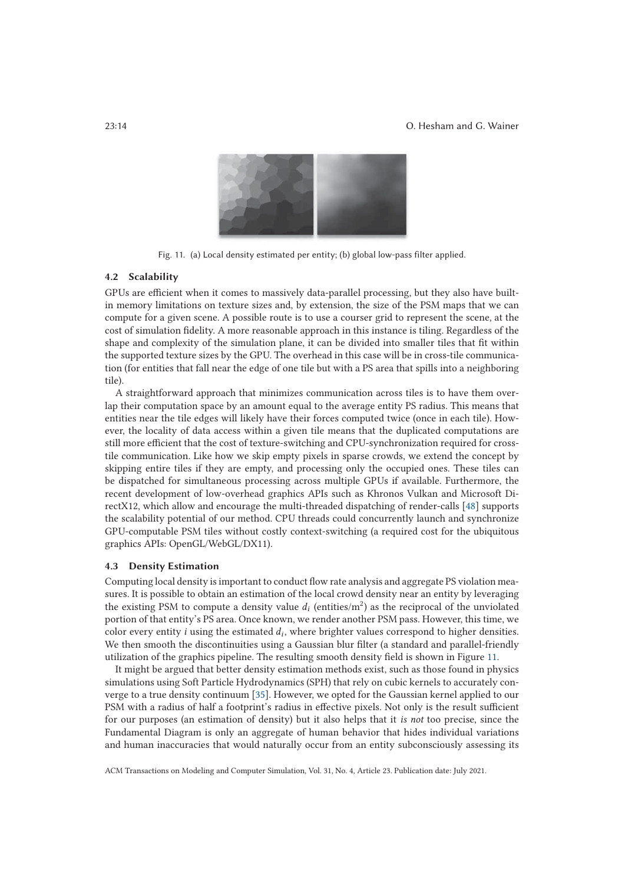#### 23:14 O. Hesham and G. Wainer



Fig. 11. (a) Local density estimated per entity; (b) global low-pass filter applied.

# **4.2 Scalability**

GPUs are efficient when it comes to massively data-parallel processing, but they also have builtin memory limitations on texture sizes and, by extension, the size of the PSM maps that we can compute for a given scene. A possible route is to use a courser grid to represent the scene, at the cost of simulation fidelity. A more reasonable approach in this instance is tiling. Regardless of the shape and complexity of the simulation plane, it can be divided into smaller tiles that fit within the supported texture sizes by the GPU. The overhead in this case will be in cross-tile communication (for entities that fall near the edge of one tile but with a PS area that spills into a neighboring tile).

A straightforward approach that minimizes communication across tiles is to have them overlap their computation space by an amount equal to the average entity PS radius. This means that entities near the tile edges will likely have their forces computed twice (once in each tile). However, the locality of data access within a given tile means that the duplicated computations are still more efficient that the cost of texture-switching and CPU-synchronization required for crosstile communication. Like how we skip empty pixels in sparse crowds, we extend the concept by skipping entire tiles if they are empty, and processing only the occupied ones. These tiles can be dispatched for simultaneous processing across multiple GPUs if available. Furthermore, the recent development of low-overhead graphics APIs such as Khronos Vulkan and Microsoft DirectX12, which allow and encourage the multi-threaded dispatching of render-calls [48] supports the scalability potential of our method. CPU threads could concurrently launch and synchronize GPU-computable PSM tiles without costly context-switching (a required cost for the ubiquitous graphics APIs: OpenGL/WebGL/DX11).

#### **4.3 Density Estimation**

Computing local density is important to conduct flow rate analysis and aggregate PS violation measures. It is possible to obtain an estimation of the local crowd density near an entity by leveraging the existing PSM to compute a density value  $d_i$  (entities/m<sup>2</sup>) as the reciprocal of the unviolated portion of that entity's PS area. Once known, we render another PSM pass. However, this time, we color every entity *i* using the estimated  $d_i$ , where brighter values correspond to higher densities. We then smooth the discontinuities using a Gaussian blur filter (a standard and parallel-friendly utilization of the graphics pipeline. The resulting smooth density field is shown in Figure 11.

It might be argued that better density estimation methods exist, such as those found in physics simulations using Soft Particle Hydrodynamics (SPH) that rely on cubic kernels to accurately converge to a true density continuum [35]. However, we opted for the Gaussian kernel applied to our PSM with a radius of half a footprint's radius in effective pixels. Not only is the result sufficient for our purposes (an estimation of density) but it also helps that it *is not* too precise, since the Fundamental Diagram is only an aggregate of human behavior that hides individual variations and human inaccuracies that would naturally occur from an entity subconsciously assessing its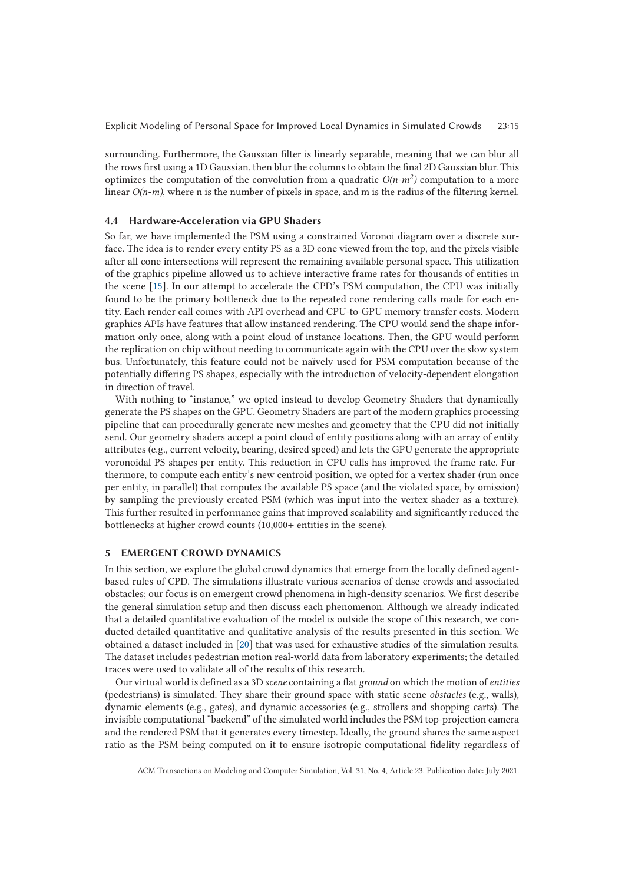surrounding. Furthermore, the Gaussian filter is linearly separable, meaning that we can blur all the rows first using a 1D Gaussian, then blur the columns to obtain the final 2D Gaussian blur. This optimizes the computation of the convolution from a quadratic  $O(n-m^2)$  computation to a more linear  $O(n-m)$ , where n is the number of pixels in space, and m is the radius of the filtering kernel.

# **4.4 Hardware-Acceleration via GPU Shaders**

So far, we have implemented the PSM using a constrained Voronoi diagram over a discrete surface. The idea is to render every entity PS as a 3D cone viewed from the top, and the pixels visible after all cone intersections will represent the remaining available personal space. This utilization of the graphics pipeline allowed us to achieve interactive frame rates for thousands of entities in the scene [15]. In our attempt to accelerate the CPD's PSM computation, the CPU was initially found to be the primary bottleneck due to the repeated cone rendering calls made for each entity. Each render call comes with API overhead and CPU-to-GPU memory transfer costs. Modern graphics APIs have features that allow instanced rendering. The CPU would send the shape information only once, along with a point cloud of instance locations. Then, the GPU would perform the replication on chip without needing to communicate again with the CPU over the slow system bus. Unfortunately, this feature could not be naïvely used for PSM computation because of the potentially differing PS shapes, especially with the introduction of velocity-dependent elongation in direction of travel.

With nothing to "instance," we opted instead to develop Geometry Shaders that dynamically generate the PS shapes on the GPU. Geometry Shaders are part of the modern graphics processing pipeline that can procedurally generate new meshes and geometry that the CPU did not initially send. Our geometry shaders accept a point cloud of entity positions along with an array of entity attributes (e.g., current velocity, bearing, desired speed) and lets the GPU generate the appropriate voronoidal PS shapes per entity. This reduction in CPU calls has improved the frame rate. Furthermore, to compute each entity's new centroid position, we opted for a vertex shader (run once per entity, in parallel) that computes the available PS space (and the violated space, by omission) by sampling the previously created PSM (which was input into the vertex shader as a texture). This further resulted in performance gains that improved scalability and significantly reduced the bottlenecks at higher crowd counts (10,000+ entities in the scene).

# **5 EMERGENT CROWD DYNAMICS**

In this section, we explore the global crowd dynamics that emerge from the locally defined agentbased rules of CPD. The simulations illustrate various scenarios of dense crowds and associated obstacles; our focus is on emergent crowd phenomena in high-density scenarios. We first describe the general simulation setup and then discuss each phenomenon. Although we already indicated that a detailed quantitative evaluation of the model is outside the scope of this research, we conducted detailed quantitative and qualitative analysis of the results presented in this section. We obtained a dataset included in [20] that was used for exhaustive studies of the simulation results. The dataset includes pedestrian motion real-world data from laboratory experiments; the detailed traces were used to validate all of the results of this research.

Our virtual world is defined as a 3D *scene* containing a flat *ground* on which the motion of *entities* (pedestrians) is simulated. They share their ground space with static scene *obstacles* (e.g., walls), dynamic elements (e.g., gates), and dynamic accessories (e.g., strollers and shopping carts). The invisible computational "backend" of the simulated world includes the PSM top-projection camera and the rendered PSM that it generates every timestep. Ideally, the ground shares the same aspect ratio as the PSM being computed on it to ensure isotropic computational fidelity regardless of

ACM Transactions on Modeling and Computer Simulation, Vol. 31, No. 4, Article 23. Publication date: July 2021.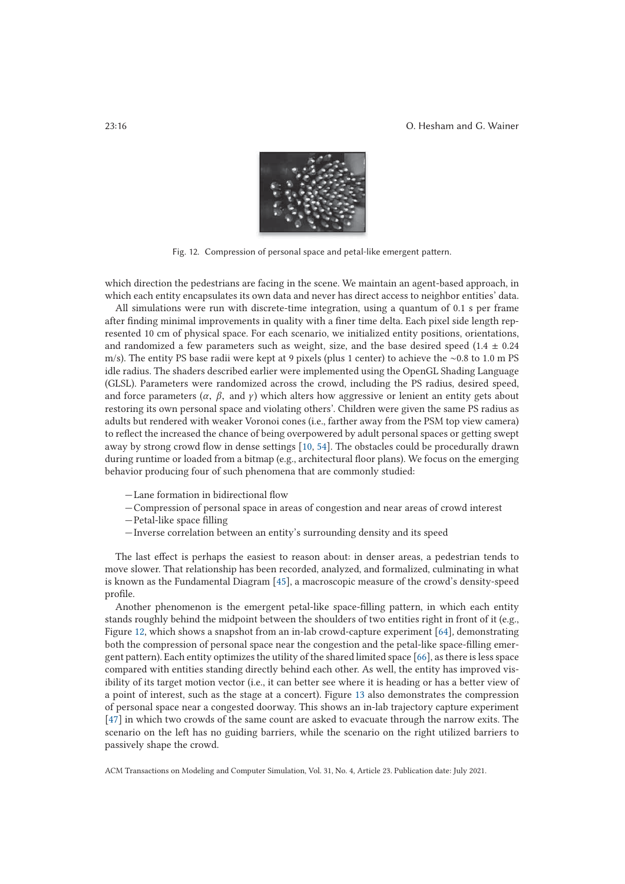

Fig. 12. Compression of personal space and petal-like emergent pattern.

which direction the pedestrians are facing in the scene. We maintain an agent-based approach, in which each entity encapsulates its own data and never has direct access to neighbor entities' data.

All simulations were run with discrete-time integration, using a quantum of 0.1 s per frame after finding minimal improvements in quality with a finer time delta. Each pixel side length represented 10 cm of physical space. For each scenario, we initialized entity positions, orientations, and randomized a few parameters such as weight, size, and the base desired speed (1.4  $\pm$  0.24 m/s). The entity PS base radii were kept at 9 pixels (plus 1 center) to achieve the ∼0.8 to 1.0 m PS idle radius. The shaders described earlier were implemented using the OpenGL Shading Language (GLSL). Parameters were randomized across the crowd, including the PS radius, desired speed, and force parameters  $(\alpha, \beta, \text{ and } \gamma)$  which alters how aggressive or lenient an entity gets about restoring its own personal space and violating others'. Children were given the same PS radius as adults but rendered with weaker Voronoi cones (i.e., farther away from the PSM top view camera) to reflect the increased the chance of being overpowered by adult personal spaces or getting swept away by strong crowd flow in dense settings [10, 54]. The obstacles could be procedurally drawn during runtime or loaded from a bitmap (e.g., architectural floor plans). We focus on the emerging behavior producing four of such phenomena that are commonly studied:

- —Lane formation in bidirectional flow
- —Compression of personal space in areas of congestion and near areas of crowd interest
- —Petal-like space filling
- —Inverse correlation between an entity's surrounding density and its speed

The last effect is perhaps the easiest to reason about: in denser areas, a pedestrian tends to move slower. That relationship has been recorded, analyzed, and formalized, culminating in what is known as the Fundamental Diagram [45], a macroscopic measure of the crowd's density-speed profile.

Another phenomenon is the emergent petal-like space-filling pattern, in which each entity stands roughly behind the midpoint between the shoulders of two entities right in front of it (e.g., Figure 12, which shows a snapshot from an in-lab crowd-capture experiment [64]*,* demonstrating both the compression of personal space near the congestion and the petal-like space-filling emergent pattern). Each entity optimizes the utility of the shared limited space [66], as there is less space compared with entities standing directly behind each other. As well, the entity has improved visibility of its target motion vector (i.e., it can better see where it is heading or has a better view of a point of interest, such as the stage at a concert). Figure 13 also demonstrates the compression of personal space near a congested doorway. This shows an in-lab trajectory capture experiment [47] in which two crowds of the same count are asked to evacuate through the narrow exits. The scenario on the left has no guiding barriers, while the scenario on the right utilized barriers to passively shape the crowd.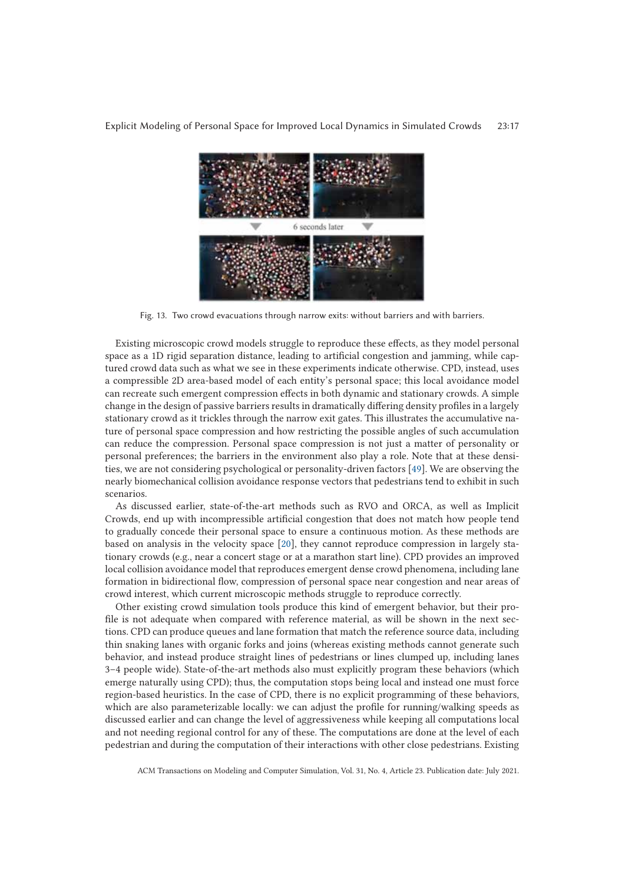

Fig. 13. Two crowd evacuations through narrow exits: without barriers and with barriers.

Existing microscopic crowd models struggle to reproduce these effects, as they model personal space as a 1D rigid separation distance, leading to artificial congestion and jamming, while captured crowd data such as what we see in these experiments indicate otherwise. CPD, instead, uses a compressible 2D area-based model of each entity's personal space; this local avoidance model can recreate such emergent compression effects in both dynamic and stationary crowds. A simple change in the design of passive barriers results in dramatically differing density profiles in a largely stationary crowd as it trickles through the narrow exit gates. This illustrates the accumulative nature of personal space compression and how restricting the possible angles of such accumulation can reduce the compression. Personal space compression is not just a matter of personality or personal preferences; the barriers in the environment also play a role. Note that at these densities, we are not considering psychological or personality-driven factors [49]. We are observing the nearly biomechanical collision avoidance response vectors that pedestrians tend to exhibit in such scenarios.

As discussed earlier, state-of-the-art methods such as RVO and ORCA, as well as Implicit Crowds, end up with incompressible artificial congestion that does not match how people tend to gradually concede their personal space to ensure a continuous motion. As these methods are based on analysis in the velocity space [20], they cannot reproduce compression in largely stationary crowds (e.g., near a concert stage or at a marathon start line). CPD provides an improved local collision avoidance model that reproduces emergent dense crowd phenomena, including lane formation in bidirectional flow, compression of personal space near congestion and near areas of crowd interest, which current microscopic methods struggle to reproduce correctly.

Other existing crowd simulation tools produce this kind of emergent behavior, but their profile is not adequate when compared with reference material, as will be shown in the next sections. CPD can produce queues and lane formation that match the reference source data, including thin snaking lanes with organic forks and joins (whereas existing methods cannot generate such behavior, and instead produce straight lines of pedestrians or lines clumped up, including lanes 3–4 people wide). State-of-the-art methods also must explicitly program these behaviors (which emerge naturally using CPD); thus, the computation stops being local and instead one must force region-based heuristics. In the case of CPD, there is no explicit programming of these behaviors, which are also parameterizable locally: we can adjust the profile for running/walking speeds as discussed earlier and can change the level of aggressiveness while keeping all computations local and not needing regional control for any of these. The computations are done at the level of each pedestrian and during the computation of their interactions with other close pedestrians. Existing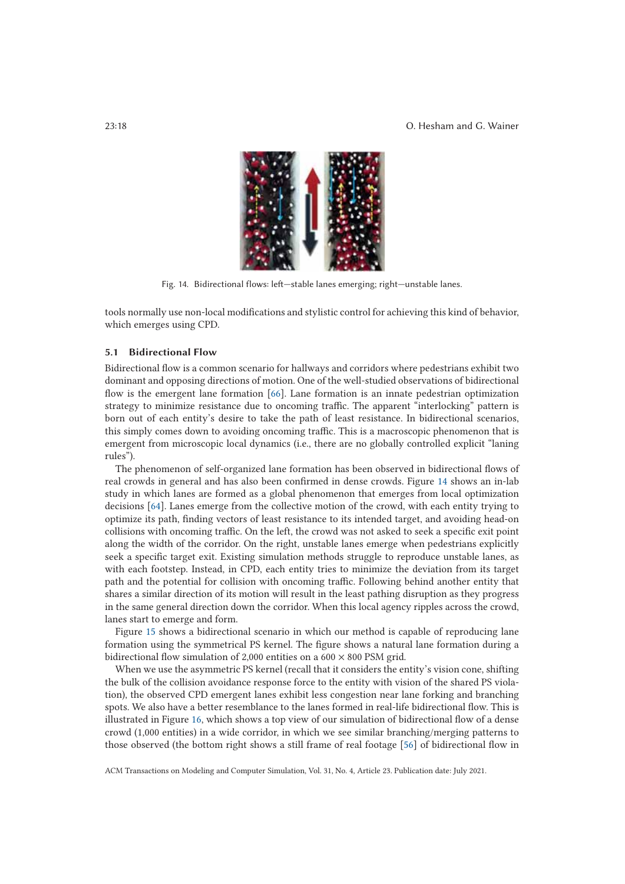

Fig. 14. Bidirectional flows: left—stable lanes emerging; right—unstable lanes.

tools normally use non-local modifications and stylistic control for achieving this kind of behavior, which emerges using CPD.

#### **5.1 Bidirectional Flow**

Bidirectional flow is a common scenario for hallways and corridors where pedestrians exhibit two dominant and opposing directions of motion. One of the well-studied observations of bidirectional flow is the emergent lane formation [66]. Lane formation is an innate pedestrian optimization strategy to minimize resistance due to oncoming traffic. The apparent "interlocking" pattern is born out of each entity's desire to take the path of least resistance. In bidirectional scenarios, this simply comes down to avoiding oncoming traffic. This is a macroscopic phenomenon that is emergent from microscopic local dynamics (i.e., there are no globally controlled explicit "laning rules").

The phenomenon of self-organized lane formation has been observed in bidirectional flows of real crowds in general and has also been confirmed in dense crowds. Figure 14 shows an in-lab study in which lanes are formed as a global phenomenon that emerges from local optimization decisions [64]. Lanes emerge from the collective motion of the crowd, with each entity trying to optimize its path, finding vectors of least resistance to its intended target, and avoiding head-on collisions with oncoming traffic. On the left, the crowd was not asked to seek a specific exit point along the width of the corridor. On the right, unstable lanes emerge when pedestrians explicitly seek a specific target exit. Existing simulation methods struggle to reproduce unstable lanes, as with each footstep. Instead, in CPD, each entity tries to minimize the deviation from its target path and the potential for collision with oncoming traffic. Following behind another entity that shares a similar direction of its motion will result in the least pathing disruption as they progress in the same general direction down the corridor. When this local agency ripples across the crowd, lanes start to emerge and form.

Figure 15 shows a bidirectional scenario in which our method is capable of reproducing lane formation using the symmetrical PS kernel. The figure shows a natural lane formation during a bidirectional flow simulation of 2,000 entities on a 600  $\times$  800 PSM grid.

When we use the asymmetric PS kernel (recall that it considers the entity's vision cone, shifting the bulk of the collision avoidance response force to the entity with vision of the shared PS violation), the observed CPD emergent lanes exhibit less congestion near lane forking and branching spots. We also have a better resemblance to the lanes formed in real-life bidirectional flow. This is illustrated in Figure 16, which shows a top view of our simulation of bidirectional flow of a dense crowd (1,000 entities) in a wide corridor, in which we see similar branching/merging patterns to those observed (the bottom right shows a still frame of real footage [56] of bidirectional flow in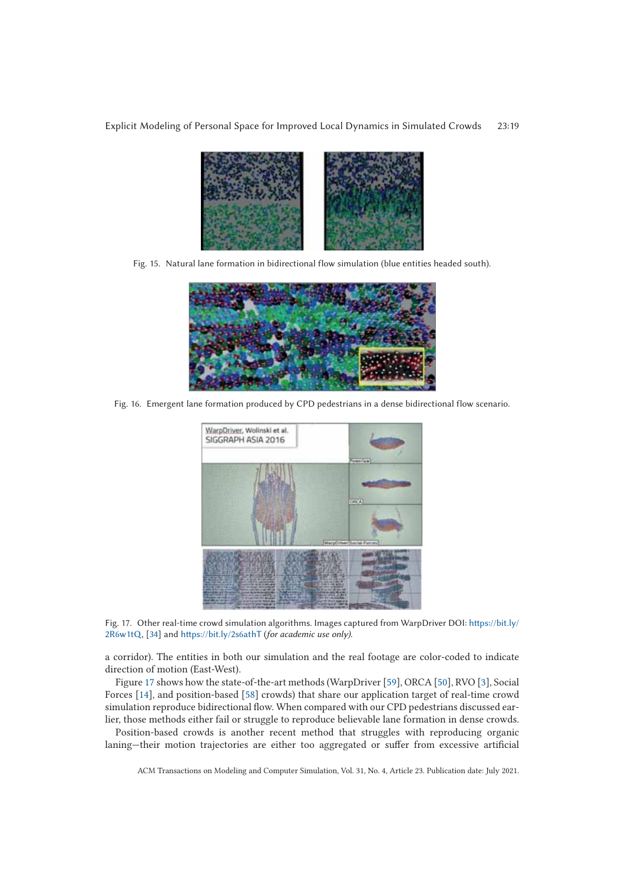

Fig. 15. Natural lane formation in bidirectional flow simulation (blue entities headed south).



Fig. 16. Emergent lane formation produced by CPD pedestrians in a dense bidirectional flow scenario.



Fig. 17. Other real-time crowd simulation algorithms. Images captured from WarpDriver DOI: https://bit.ly/ 2R6w1tQ, [34] and https://bit.ly/2s6athT (*for academic use only).*

a corridor). The entities in both our simulation and the real footage are color-coded to indicate direction of motion (East-West).

Figure 17 shows how the state-of-the-art methods (WarpDriver [59], ORCA [50], RVO [3], Social Forces [14], and position-based [58] crowds) that share our application target of real-time crowd simulation reproduce bidirectional flow. When compared with our CPD pedestrians discussed earlier, those methods either fail or struggle to reproduce believable lane formation in dense crowds.

Position-based crowds is another recent method that struggles with reproducing organic laning—their motion trajectories are either too aggregated or suffer from excessive artificial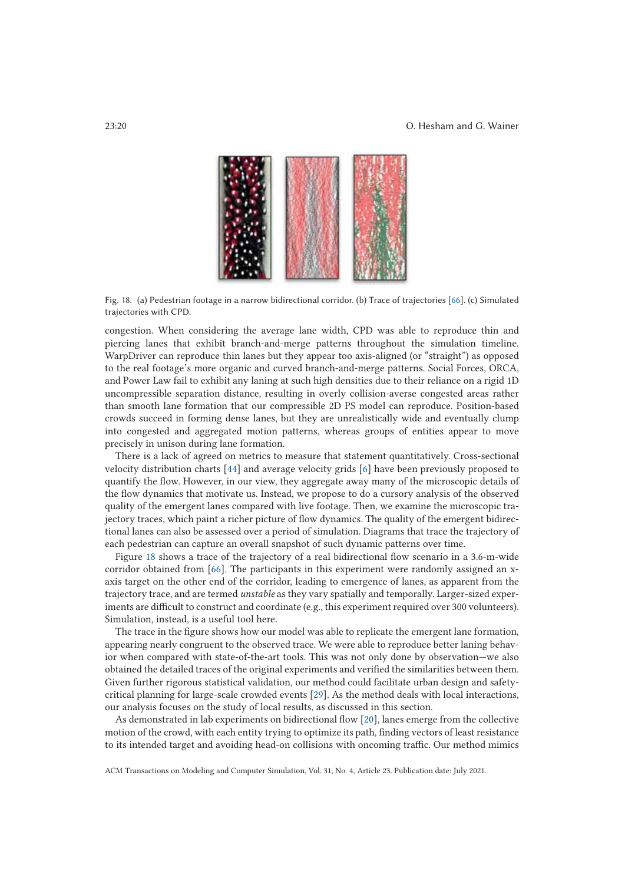

Fig. 18. (a) Pedestrian footage in a narrow bidirectional corridor. (b) Trace of trajectories [66]. (c) Simulated trajectories with CPD.

congestion. When considering the average lane width, CPD was able to reproduce thin and piercing lanes that exhibit branch-and-merge patterns throughout the simulation timeline. WarpDriver can reproduce thin lanes but they appear too axis-aligned (or "straight") as opposed to the real footage's more organic and curved branch-and-merge patterns. Social Forces, ORCA, and Power Law fail to exhibit any laning at such high densities due to their reliance on a rigid 1D uncompressible separation distance, resulting in overly collision-averse congested areas rather than smooth lane formation that our compressible 2D PS model can reproduce. Position-based crowds succeed in forming dense lanes, but they are unrealistically wide and eventually clump into congested and aggregated motion patterns, whereas groups of entities appear to move precisely in unison during lane formation.

There is a lack of agreed on metrics to measure that statement quantitatively. Cross-sectional velocity distribution charts [44] and average velocity grids [6] have been previously proposed to quantify the flow. However, in our view, they aggregate away many of the microscopic details of the flow dynamics that motivate us. Instead, we propose to do a cursory analysis of the observed quality of the emergent lanes compared with live footage. Then, we examine the microscopic trajectory traces, which paint a richer picture of flow dynamics. The quality of the emergent bidirectional lanes can also be assessed over a period of simulation. Diagrams that trace the trajectory of each pedestrian can capture an overall snapshot of such dynamic patterns over time.

Figure 18 shows a trace of the trajectory of a real bidirectional flow scenario in a 3.6-m-wide corridor obtained from [66]. The participants in this experiment were randomly assigned an xaxis target on the other end of the corridor, leading to emergence of lanes, as apparent from the trajectory trace, and are termed *unstable* as they vary spatially and temporally. Larger-sized experiments are difficult to construct and coordinate (e.g., this experiment required over 300 volunteers). Simulation, instead, is a useful tool here.

The trace in the figure shows how our model was able to replicate the emergent lane formation, appearing nearly congruent to the observed trace. We were able to reproduce better laning behavior when compared with state-of-the-art tools. This was not only done by observation—we also obtained the detailed traces of the original experiments and verified the similarities between them. Given further rigorous statistical validation, our method could facilitate urban design and safetycritical planning for large-scale crowded events [29]. As the method deals with local interactions, our analysis focuses on the study of local results, as discussed in this section.

As demonstrated in lab experiments on bidirectional flow [20], lanes emerge from the collective motion of the crowd, with each entity trying to optimize its path, finding vectors of least resistance to its intended target and avoiding head-on collisions with oncoming traffic. Our method mimics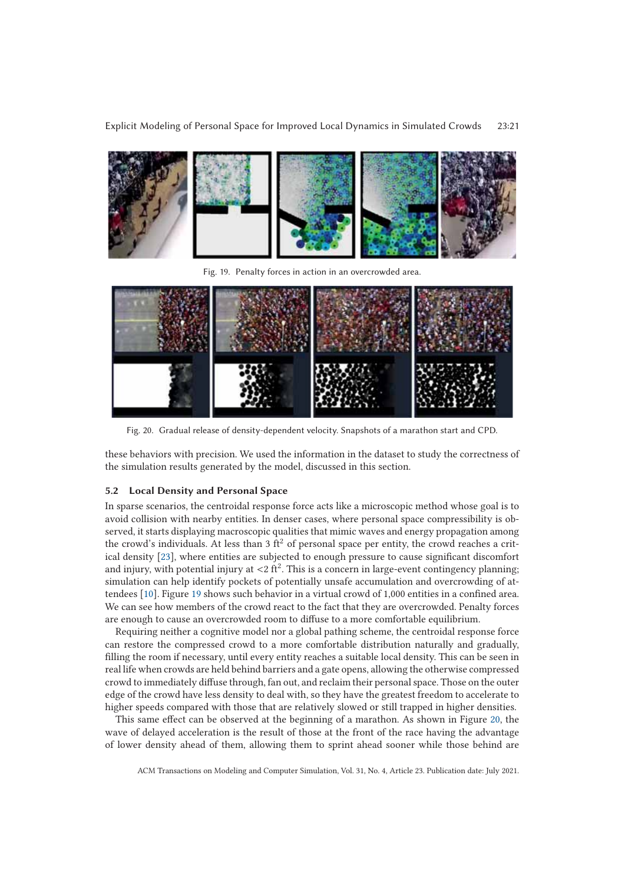

Fig. 19. Penalty forces in action in an overcrowded area.



Fig. 20. Gradual release of density-dependent velocity. Snapshots of a marathon start and CPD.

these behaviors with precision. We used the information in the dataset to study the correctness of the simulation results generated by the model, discussed in this section.

## **5.2 Local Density and Personal Space**

In sparse scenarios, the centroidal response force acts like a microscopic method whose goal is to avoid collision with nearby entities. In denser cases, where personal space compressibility is observed, it starts displaying macroscopic qualities that mimic waves and energy propagation among the crowd's individuals. At less than 3  $\text{ft}^2$  of personal space per entity, the crowd reaches a critical density [23], where entities are subjected to enough pressure to cause significant discomfort and injury, with potential injury at  $\langle 2 \text{ ft}^2 \rangle$ . This is a concern in large-event contingency planning; simulation can help identify pockets of potentially unsafe accumulation and overcrowding of attendees [10]. Figure 19 shows such behavior in a virtual crowd of 1,000 entities in a confined area. We can see how members of the crowd react to the fact that they are overcrowded. Penalty forces are enough to cause an overcrowded room to diffuse to a more comfortable equilibrium.

Requiring neither a cognitive model nor a global pathing scheme, the centroidal response force can restore the compressed crowd to a more comfortable distribution naturally and gradually, filling the room if necessary, until every entity reaches a suitable local density. This can be seen in real life when crowds are held behind barriers and a gate opens, allowing the otherwise compressed crowd to immediately diffuse through, fan out, and reclaim their personal space. Those on the outer edge of the crowd have less density to deal with, so they have the greatest freedom to accelerate to higher speeds compared with those that are relatively slowed or still trapped in higher densities.

This same effect can be observed at the beginning of a marathon. As shown in Figure 20, the wave of delayed acceleration is the result of those at the front of the race having the advantage of lower density ahead of them, allowing them to sprint ahead sooner while those behind are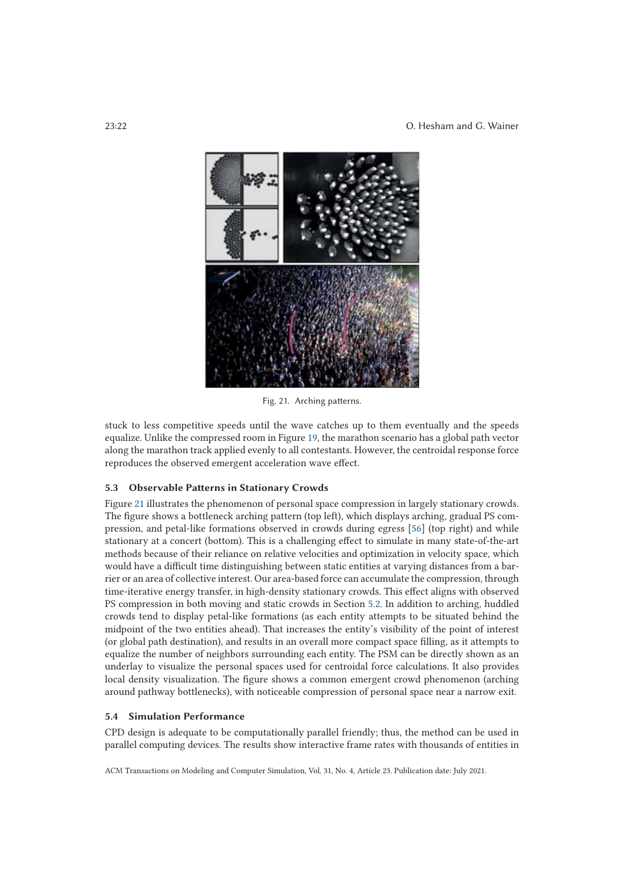

Fig. 21. Arching patterns.

stuck to less competitive speeds until the wave catches up to them eventually and the speeds equalize. Unlike the compressed room in Figure 19, the marathon scenario has a global path vector along the marathon track applied evenly to all contestants. However, the centroidal response force reproduces the observed emergent acceleration wave effect.

# **5.3 Observable Patterns in Stationary Crowds**

Figure 21 illustrates the phenomenon of personal space compression in largely stationary crowds. The figure shows a bottleneck arching pattern (top left), which displays arching, gradual PS compression, and petal-like formations observed in crowds during egress [56] (top right) and while stationary at a concert (bottom). This is a challenging effect to simulate in many state-of-the-art methods because of their reliance on relative velocities and optimization in velocity space, which would have a difficult time distinguishing between static entities at varying distances from a barrier or an area of collective interest. Our area-based force can accumulate the compression, through time-iterative energy transfer, in high-density stationary crowds. This effect aligns with observed PS compression in both moving and static crowds in Section 5.2. In addition to arching, huddled crowds tend to display petal-like formations (as each entity attempts to be situated behind the midpoint of the two entities ahead). That increases the entity's visibility of the point of interest (or global path destination), and results in an overall more compact space filling, as it attempts to equalize the number of neighbors surrounding each entity. The PSM can be directly shown as an underlay to visualize the personal spaces used for centroidal force calculations. It also provides local density visualization. The figure shows a common emergent crowd phenomenon (arching around pathway bottlenecks), with noticeable compression of personal space near a narrow exit.

# **5.4 Simulation Performance**

CPD design is adequate to be computationally parallel friendly; thus, the method can be used in parallel computing devices. The results show interactive frame rates with thousands of entities in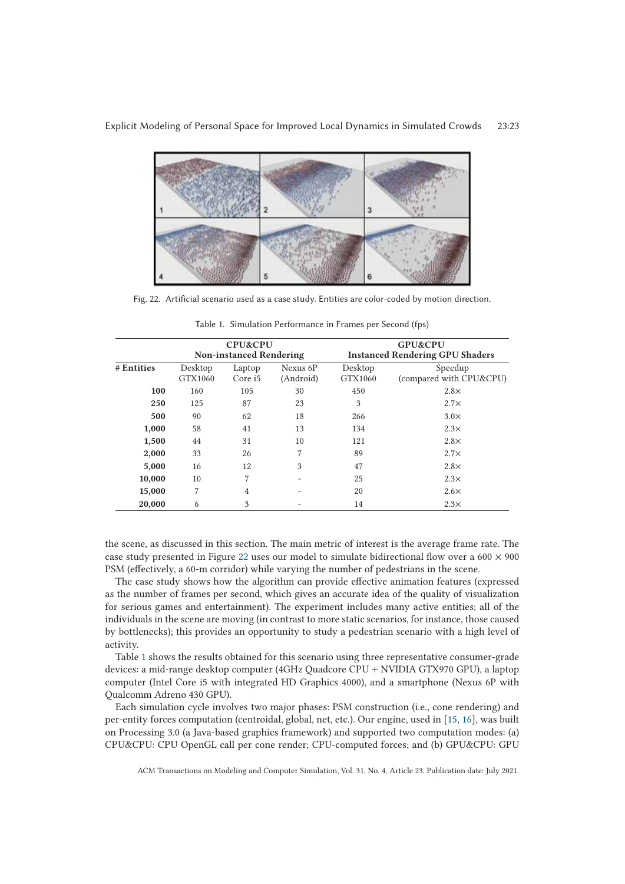

Fig. 22. Artificial scenario used as a case study. Entities are color-coded by motion direction.

|            | <b>CPU&amp;CPU</b><br><b>Non-instanced Rendering</b> |                   |                       | <b>GPU&amp;CPU</b><br><b>Instanced Rendering GPU Shaders</b> |                                    |
|------------|------------------------------------------------------|-------------------|-----------------------|--------------------------------------------------------------|------------------------------------|
| # Entities | Desktop<br>GTX1060                                   | Laptop<br>Core i5 | Nexus 6P<br>(Android) | Desktop<br>GTX1060                                           | Speedup<br>(compared with CPU&CPU) |
| 100        | 160                                                  | 105               | 30                    | 450                                                          | $2.8\times$                        |
| 250        | 125                                                  | 87                | 23                    | 3                                                            | $2.7\times$                        |
| 500        | 90                                                   | 62                | 18                    | 266                                                          | $3.0\times$                        |
| 1,000      | 58                                                   | 41                | 13                    | 134                                                          | $2.3\times$                        |
| 1,500      | 44                                                   | 31                | 10                    | 121                                                          | $2.8\times$                        |
| 2,000      | 33                                                   | 26                | 7                     | 89                                                           | $2.7\times$                        |
| 5,000      | 16                                                   | 12                | 3                     | 47                                                           | $2.8\times$                        |
| 10,000     | 10                                                   | 7                 |                       | 25                                                           | $2.3\times$                        |
| 15,000     | 7                                                    | $\overline{4}$    |                       | 20                                                           | $2.6\times$                        |
| 20,000     | 6                                                    | 3                 |                       | 14                                                           | $2.3\times$                        |

Table 1. Simulation Performance in Frames per Second (fps)

the scene, as discussed in this section. The main metric of interest is the average frame rate. The case study presented in Figure 22 uses our model to simulate bidirectional flow over a  $600 \times 900$ PSM (effectively, a 60-m corridor) while varying the number of pedestrians in the scene.

The case study shows how the algorithm can provide effective animation features (expressed as the number of frames per second, which gives an accurate idea of the quality of visualization for serious games and entertainment). The experiment includes many active entities; all of the individuals in the scene are moving (in contrast to more static scenarios, for instance, those caused by bottlenecks); this provides an opportunity to study a pedestrian scenario with a high level of activity.

Table 1 shows the results obtained for this scenario using three representative consumer-grade devices: a mid-range desktop computer (4GHz Quadcore CPU + NVIDIA GTX970 GPU), a laptop computer (Intel Core i5 with integrated HD Graphics 4000), and a smartphone (Nexus 6P with Qualcomm Adreno 430 GPU).

Each simulation cycle involves two major phases: PSM construction (i.e., cone rendering) and per-entity forces computation (centroidal, global, net, etc.). Our engine, used in [15, 16], was built on Processing 3.0 (a Java-based graphics framework) and supported two computation modes: (a) CPU&CPU: CPU OpenGL call per cone render; CPU-computed forces; and (b) GPU&CPU: GPU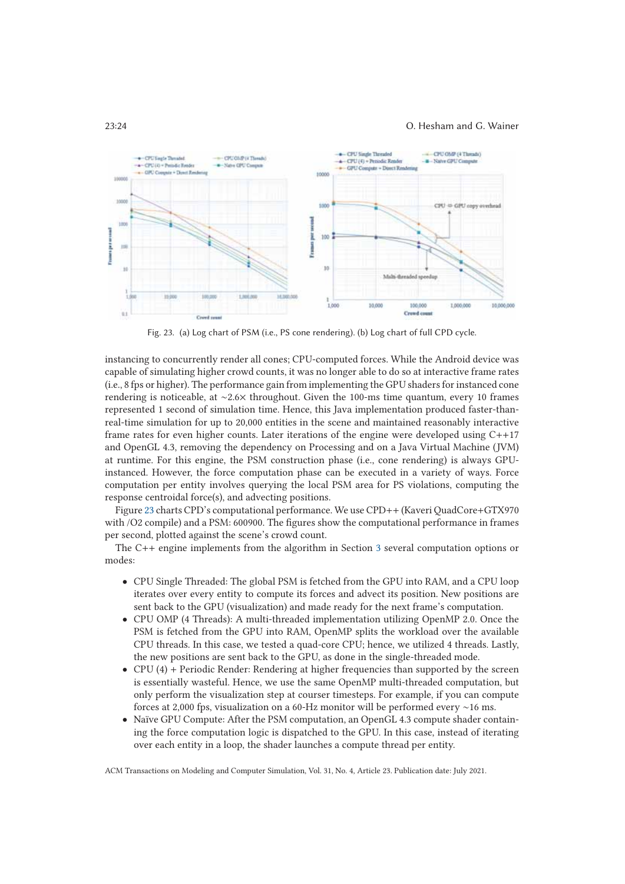#### 23:24 O. Hesham and G. Wainer



Fig. 23. (a) Log chart of PSM (i.e., PS cone rendering). (b) Log chart of full CPD cycle.

instancing to concurrently render all cones; CPU-computed forces. While the Android device was capable of simulating higher crowd counts, it was no longer able to do so at interactive frame rates (i.e., 8 fps or higher). The performance gain from implementing the GPU shaders for instanced cone rendering is noticeable, at ∼2.6× throughout. Given the 100-ms time quantum, every 10 frames represented 1 second of simulation time. Hence, this Java implementation produced faster-thanreal-time simulation for up to 20,000 entities in the scene and maintained reasonably interactive frame rates for even higher counts. Later iterations of the engine were developed using C++17 and OpenGL 4.3, removing the dependency on Processing and on a Java Virtual Machine (JVM) at runtime. For this engine, the PSM construction phase (i.e., cone rendering) is always GPUinstanced. However, the force computation phase can be executed in a variety of ways. Force computation per entity involves querying the local PSM area for PS violations, computing the response centroidal force(s), and advecting positions.

Figure 23 charts CPD's computational performance. We use CPD++ (Kaveri QuadCore+GTX970 with /O2 compile) and a PSM: 600900. The figures show the computational performance in frames per second, plotted against the scene's crowd count.

The C++ engine implements from the algorithm in Section 3 several computation options or modes:

- CPU Single Threaded: The global PSM is fetched from the GPU into RAM, and a CPU loop iterates over every entity to compute its forces and advect its position. New positions are sent back to the GPU (visualization) and made ready for the next frame's computation.
- CPU OMP (4 Threads): A multi-threaded implementation utilizing OpenMP 2.0. Once the PSM is fetched from the GPU into RAM, OpenMP splits the workload over the available CPU threads. In this case, we tested a quad-core CPU; hence, we utilized 4 threads. Lastly, the new positions are sent back to the GPU, as done in the single-threaded mode.
- CPU (4) + Periodic Render: Rendering at higher frequencies than supported by the screen is essentially wasteful. Hence, we use the same OpenMP multi-threaded computation, but only perform the visualization step at courser timesteps. For example, if you can compute forces at 2,000 fps, visualization on a 60-Hz monitor will be performed every ∼16 ms.
- Naïve GPU Compute: After the PSM computation, an OpenGL 4.3 compute shader containing the force computation logic is dispatched to the GPU. In this case, instead of iterating over each entity in a loop, the shader launches a compute thread per entity.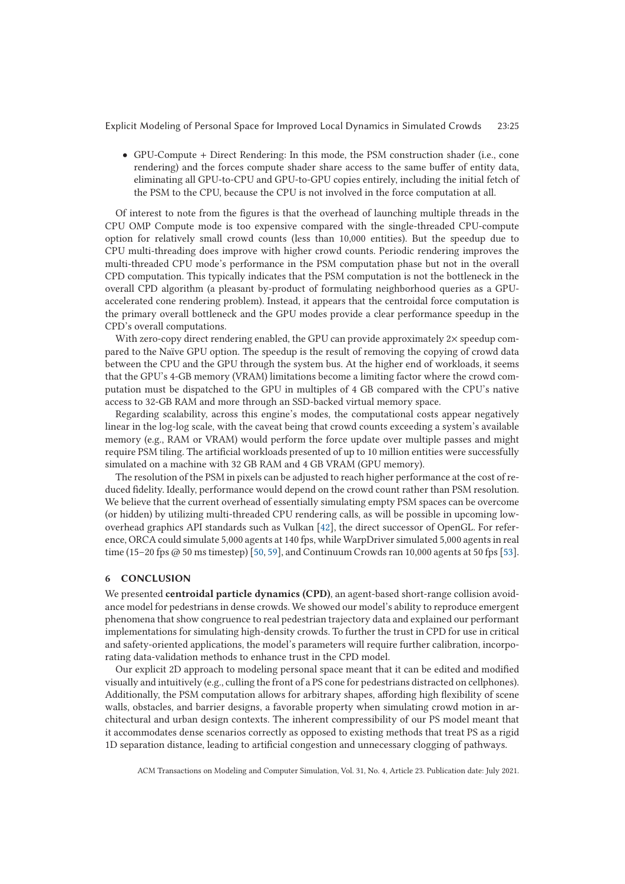• GPU-Compute + Direct Rendering: In this mode, the PSM construction shader (i.e., cone rendering) and the forces compute shader share access to the same buffer of entity data, eliminating all GPU-to-CPU and GPU-to-GPU copies entirely, including the initial fetch of the PSM to the CPU, because the CPU is not involved in the force computation at all.

Of interest to note from the figures is that the overhead of launching multiple threads in the CPU OMP Compute mode is too expensive compared with the single-threaded CPU-compute option for relatively small crowd counts (less than 10,000 entities). But the speedup due to CPU multi-threading does improve with higher crowd counts. Periodic rendering improves the multi-threaded CPU mode's performance in the PSM computation phase but not in the overall CPD computation. This typically indicates that the PSM computation is not the bottleneck in the overall CPD algorithm (a pleasant by-product of formulating neighborhood queries as a GPUaccelerated cone rendering problem). Instead, it appears that the centroidal force computation is the primary overall bottleneck and the GPU modes provide a clear performance speedup in the CPD's overall computations.

With zero-copy direct rendering enabled, the GPU can provide approximately  $2\times$  speedup compared to the Naïve GPU option. The speedup is the result of removing the copying of crowd data between the CPU and the GPU through the system bus. At the higher end of workloads, it seems that the GPU's 4-GB memory (VRAM) limitations become a limiting factor where the crowd computation must be dispatched to the GPU in multiples of 4 GB compared with the CPU's native access to 32-GB RAM and more through an SSD-backed virtual memory space.

Regarding scalability, across this engine's modes, the computational costs appear negatively linear in the log-log scale, with the caveat being that crowd counts exceeding a system's available memory (e.g., RAM or VRAM) would perform the force update over multiple passes and might require PSM tiling. The artificial workloads presented of up to 10 million entities were successfully simulated on a machine with 32 GB RAM and 4 GB VRAM (GPU memory).

The resolution of the PSM in pixels can be adjusted to reach higher performance at the cost of reduced fidelity. Ideally, performance would depend on the crowd count rather than PSM resolution. We believe that the current overhead of essentially simulating empty PSM spaces can be overcome (or hidden) by utilizing multi-threaded CPU rendering calls, as will be possible in upcoming lowoverhead graphics API standards such as Vulkan [42], the direct successor of OpenGL. For reference, ORCA could simulate 5,000 agents at 140 fps, while WarpDriver simulated 5,000 agents in real time (15–20 fps @ 50 ms timestep) [50, 59], and Continuum Crowds ran 10,000 agents at 50 fps [53].

#### **6 CONCLUSION**

We presented **centroidal particle dynamics (CPD)**, an agent-based short-range collision avoidance model for pedestrians in dense crowds. We showed our model's ability to reproduce emergent phenomena that show congruence to real pedestrian trajectory data and explained our performant implementations for simulating high-density crowds. To further the trust in CPD for use in critical and safety-oriented applications, the model's parameters will require further calibration, incorporating data-validation methods to enhance trust in the CPD model.

Our explicit 2D approach to modeling personal space meant that it can be edited and modified visually and intuitively (e.g., culling the front of a PS cone for pedestrians distracted on cellphones). Additionally, the PSM computation allows for arbitrary shapes, affording high flexibility of scene walls, obstacles, and barrier designs, a favorable property when simulating crowd motion in architectural and urban design contexts. The inherent compressibility of our PS model meant that it accommodates dense scenarios correctly as opposed to existing methods that treat PS as a rigid 1D separation distance, leading to artificial congestion and unnecessary clogging of pathways.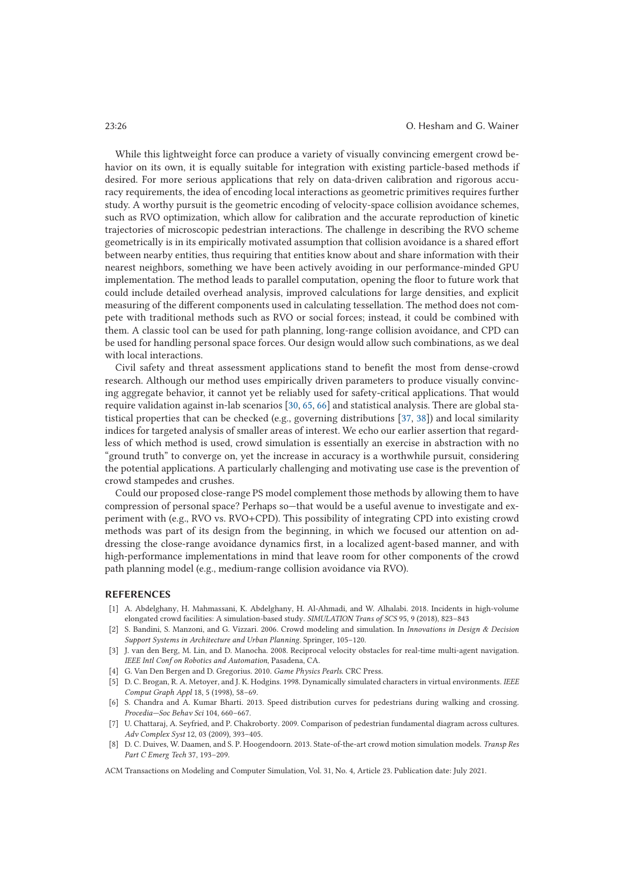While this lightweight force can produce a variety of visually convincing emergent crowd behavior on its own, it is equally suitable for integration with existing particle-based methods if desired. For more serious applications that rely on data-driven calibration and rigorous accuracy requirements, the idea of encoding local interactions as geometric primitives requires further study. A worthy pursuit is the geometric encoding of velocity-space collision avoidance schemes, such as RVO optimization, which allow for calibration and the accurate reproduction of kinetic trajectories of microscopic pedestrian interactions. The challenge in describing the RVO scheme geometrically is in its empirically motivated assumption that collision avoidance is a shared effort between nearby entities, thus requiring that entities know about and share information with their nearest neighbors, something we have been actively avoiding in our performance-minded GPU implementation. The method leads to parallel computation, opening the floor to future work that could include detailed overhead analysis, improved calculations for large densities, and explicit measuring of the different components used in calculating tessellation. The method does not compete with traditional methods such as RVO or social forces; instead, it could be combined with them. A classic tool can be used for path planning, long-range collision avoidance, and CPD can be used for handling personal space forces. Our design would allow such combinations, as we deal with local interactions.

Civil safety and threat assessment applications stand to benefit the most from dense-crowd research. Although our method uses empirically driven parameters to produce visually convincing aggregate behavior, it cannot yet be reliably used for safety-critical applications. That would require validation against in-lab scenarios [30, 65, 66] and statistical analysis. There are global statistical properties that can be checked (e.g., governing distributions [37, 38]) and local similarity indices for targeted analysis of smaller areas of interest. We echo our earlier assertion that regardless of which method is used, crowd simulation is essentially an exercise in abstraction with no "ground truth" to converge on, yet the increase in accuracy is a worthwhile pursuit, considering the potential applications. A particularly challenging and motivating use case is the prevention of crowd stampedes and crushes.

Could our proposed close-range PS model complement those methods by allowing them to have compression of personal space? Perhaps so—that would be a useful avenue to investigate and experiment with (e.g., RVO vs. RVO+CPD). This possibility of integrating CPD into existing crowd methods was part of its design from the beginning, in which we focused our attention on addressing the close-range avoidance dynamics first, in a localized agent-based manner, and with high-performance implementations in mind that leave room for other components of the crowd path planning model (e.g., medium-range collision avoidance via RVO).

### **REFERENCES**

- [1] A. Abdelghany, H. Mahmassani, K. Abdelghany, H. Al-Ahmadi, and W. Alhalabi. 2018. Incidents in high-volume elongated crowd facilities: A simulation-based study. *SIMULATION Trans of SCS* 95, 9 (2018), 823–843
- [2] S. Bandini, S. Manzoni, and G. Vizzari. 2006. Crowd modeling and simulation. In *Innovations in Design & Decision Support Systems in Architecture and Urban Planning*. Springer, 105–120.
- [3] J. van den Berg, M. Lin, and D. Manocha. 2008. Reciprocal velocity obstacles for real-time multi-agent navigation. *IEEE Intl Conf on Robotics and Automation*, Pasadena, CA.
- [4] G. Van Den Bergen and D. Gregorius. 2010. *Game Physics Pearls.* CRC Press.
- [5] D. C. Brogan, R. A. Metoyer, and J. K. Hodgins. 1998. Dynamically simulated characters in virtual environments. *IEEE Comput Graph Appl* 18, 5 (1998), 58–69.
- [6] S. Chandra and A. Kumar Bharti. 2013. Speed distribution curves for pedestrians during walking and crossing. *Procedia—Soc Behav Sci* 104, 660–667.
- [7] U. Chattaraj, A. Seyfried, and P. Chakroborty. 2009. Comparison of pedestrian fundamental diagram across cultures. *Adv Complex Syst* 12, 03 (2009), 393–405.
- [8] D. C. Duives, W. Daamen, and S. P. Hoogendoorn. 2013. State-of-the-art crowd motion simulation models. *Transp Res Part C Emerg Tech* 37, 193–209.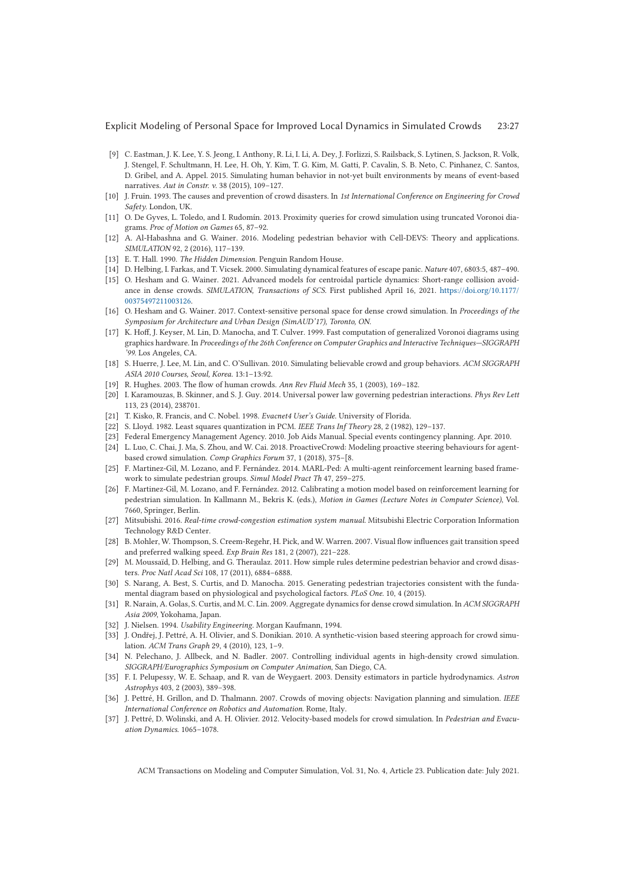- [9] C. Eastman, J. K. Lee, Y. S. Jeong, I. Anthony, R. Li, I. Li, A. Dey, J. Forlizzi, S. Railsback, S. Lytinen, S. Jackson, R. Volk, J. Stengel, F. Schultmann, H. Lee, H. Oh, Y. Kim, T. G. Kim, M. Gatti, P. Cavalin, S. B. Neto, C. Pinhanez, C. Santos, D. Gribel, and A. Appel. 2015. Simulating human behavior in not-yet built environments by means of event-based narratives. *Aut in Constr. v*. 38 (2015), 109–127.
- [10] J. Fruin. 1993. The causes and prevention of crowd disasters. In *1st International Conference on Engineering for Crowd Safety.* London, UK.
- [11] O. De Gyves, L. Toledo, and I. Rudomín. 2013. Proximity queries for crowd simulation using truncated Voronoi diagrams. *Proc of Motion on Games* 65, 87–92.
- [12] A. Al-Habashna and G. Wainer. 2016. Modeling pedestrian behavior with Cell-DEVS: Theory and applications. *SIMULATION* 92, 2 (2016), 117–139.
- [13] E. T. Hall. 1990. *The Hidden Dimension*. Penguin Random House.
- [14] D. Helbing, I. Farkas, and T. Vicsek. 2000. Simulating dynamical features of escape panic. *Nature* 407, 6803:5, 487–490.
- [15] O. Hesham and G. Wainer. 2021. Advanced models for centroidal particle dynamics: Short-range collision avoidance in dense crowds. *SIMULATION, Transactions of SCS.* First published April 16, 2021. https://doi.org/10.1177/ 00375497211003126.
- [16] O. Hesham and G. Wainer. 2017. Context-sensitive personal space for dense crowd simulation. In *Proceedings of the Symposium for Architecture and Urban Design (SimAUD'17), Toronto, ON*.
- [17] K. Hoff, J. Keyser, M. Lin, D. Manocha, and T. Culver. 1999. Fast computation of generalized Voronoi diagrams using graphics hardware. In *Proceedings of the 26th Conference on Computer Graphics and Interactive Techniques—SIGGRAPH '99*. Los Angeles, CA.
- [18] S. Huerre, J. Lee, M. Lin, and C. O'Sullivan. 2010. Simulating believable crowd and group behaviors. *ACM SIGGRAPH ASIA 2010 Courses, Seoul, Korea.* 13:1–13:92.
- [19] R. Hughes. 2003. The flow of human crowds. *Ann Rev Fluid Mech* 35, 1 (2003), 169–182.
- [20] I. Karamouzas, B. Skinner, and S. J. Guy. 2014. Universal power law governing pedestrian interactions. *Phys Rev Lett* 113, 23 (2014), 238701.
- [21] T. Kisko, R. Francis, and C. Nobel. 1998. *Evacnet4 User's Guide*. University of Florida.
- [22] S. Lloyd. 1982. Least squares quantization in PCM. *IEEE Trans Inf Theory* 28, 2 (1982), 129–137.
- [23] Federal Emergency Management Agency. 2010. Job Aids Manual. Special events contingency planning. Apr. 2010.
- [24] L. Luo, C. Chai, J. Ma, S. Zhou, and W. Cai. 2018. ProactiveCrowd: Modeling proactive steering behaviours for agentbased crowd simulation. *Comp Graphics Forum* 37, 1 (2018), 375–[8.
- [25] F. Martinez-Gil, M. Lozano, and F. Fernández. 2014. MARL-Ped: A multi-agent reinforcement learning based framework to simulate pedestrian groups. *Simul Model Pract Th* 47, 259–275.
- [26] F. Martinez-Gil, M. Lozano, and F. Fernández. 2012. Calibrating a motion model based on reinforcement learning for pedestrian simulation. In Kallmann M., Bekris K. (eds.), *Motion in Games (Lecture Notes in Computer Science)*, Vol. 7660, Springer, Berlin.
- [27] Mitsubishi. 2016. *Real-time crowd-congestion estimation system manual*. Mitsubishi Electric Corporation Information Technology R&D Center.
- [28] B. Mohler, W. Thompson, S. Creem-Regehr, H. Pick, and W. Warren. 2007. Visual flow influences gait transition speed and preferred walking speed. *Exp Brain Res* 181, 2 (2007), 221–228.
- [29] M. Moussaïd, D. Helbing, and G. Theraulaz. 2011. How simple rules determine pedestrian behavior and crowd disasters. *Proc Natl Acad Sci* 108, 17 (2011), 6884–6888.
- [30] S. Narang, A. Best, S. Curtis, and D. Manocha. 2015. Generating pedestrian trajectories consistent with the fundamental diagram based on physiological and psychological factors. *PLoS One*. 10, 4 (2015).
- [31] R. Narain, A. Golas, S. Curtis, and M. C. Lin. 2009. Aggregate dynamics for dense crowd simulation. In *ACM SIGGRAPH Asia 2009*, Yokohama, Japan.
- [32] J. Nielsen. 1994. *Usability Engineering*. Morgan Kaufmann, 1994.
- [33] J. Ondřej, J. Pettré, A. H. Olivier, and S. Donikian. 2010. A synthetic-vision based steering approach for crowd simulation. *ACM Trans Graph* 29, 4 (2010), 123, 1–9.
- [34] N. Pelechano, J. Allbeck, and N. Badler. 2007. Controlling individual agents in high-density crowd simulation. *SIGGRAPH/Eurographics Symposium on Computer Animation*, San Diego, CA.
- [35] F. I. Pelupessy, W. E. Schaap, and R. van de Weygaert. 2003. Density estimators in particle hydrodynamics. *Astron Astrophys* 403, 2 (2003), 389–398.
- [36] J. Pettré, H. Grillon, and D. Thalmann. 2007. Crowds of moving objects: Navigation planning and simulation. *IEEE International Conference on Robotics and Automation*. Rome, Italy.
- [37] J. Pettré, D. Wolinski, and A. H. Olivier. 2012. Velocity-based models for crowd simulation. In *Pedestrian and Evacuation Dynamics*. 1065–1078.